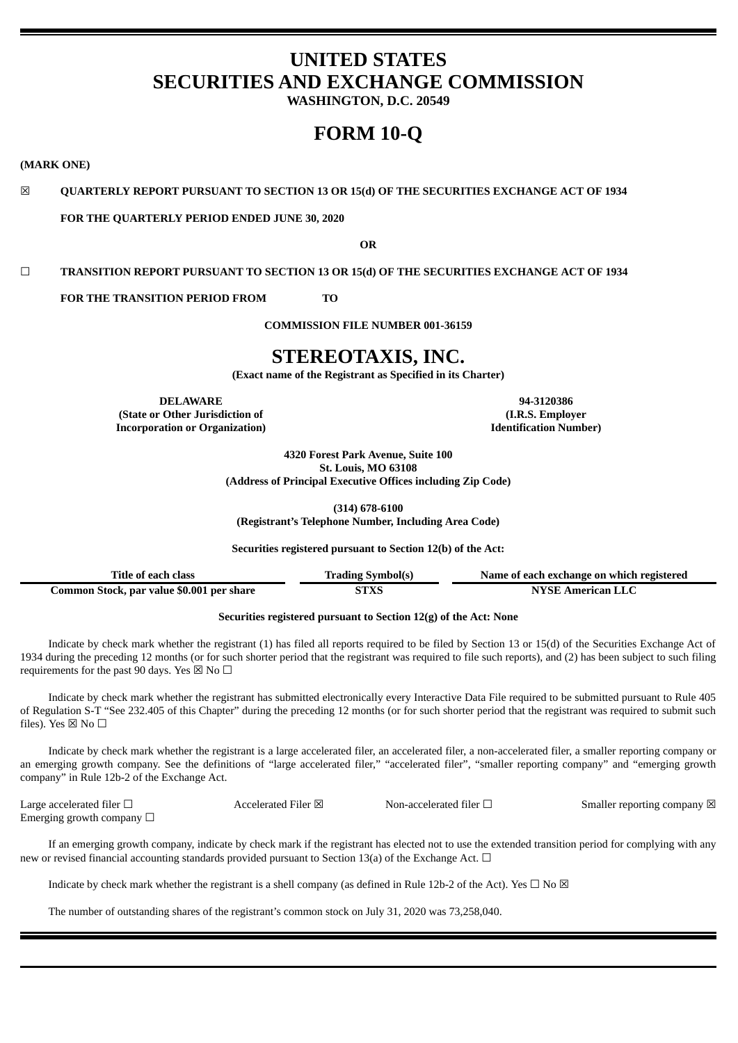# **UNITED STATES SECURITIES AND EXCHANGE COMMISSION**

**WASHINGTON, D.C. 20549**

# **FORM 10-Q**

**(MARK ONE)**

# ☒ **QUARTERLY REPORT PURSUANT TO SECTION 13 OR 15(d) OF THE SECURITIES EXCHANGE ACT OF 1934**

**FOR THE QUARTERLY PERIOD ENDED JUNE 30, 2020**

**OR**

☐ **TRANSITION REPORT PURSUANT TO SECTION 13 OR 15(d) OF THE SECURITIES EXCHANGE ACT OF 1934**

**FOR THE TRANSITION PERIOD FROM TO**

**COMMISSION FILE NUMBER 001-36159**

# **STEREOTAXIS, INC.**

**(Exact name of the Registrant as Specified in its Charter)**

**DELAWARE 94-3120386 (State or Other Jurisdiction of Incorporation or Organization)**

**(I.R.S. Employer Identification Number)**

**4320 Forest Park Avenue, Suite 100 St. Louis, MO 63108 (Address of Principal Executive Offices including Zip Code)**

**(314) 678-6100**

**(Registrant's Telephone Number, Including Area Code)**

**Securities registered pursuant to Section 12(b) of the Act:**

| Title of each class                       | <b>Trading Symbol(s)</b> | Name of each exchange on which registered |
|-------------------------------------------|--------------------------|-------------------------------------------|
| Common Stock, par value \$0.001 per share | STXS                     | <b>NYSE American LLC</b>                  |

# **Securities registered pursuant to Section 12(g) of the Act: None**

Indicate by check mark whether the registrant (1) has filed all reports required to be filed by Section 13 or 15(d) of the Securities Exchange Act of 1934 during the preceding 12 months (or for such shorter period that the registrant was required to file such reports), and (2) has been subject to such filing requirements for the past 90 days. Yes  $\boxtimes$  No  $\Box$ 

Indicate by check mark whether the registrant has submitted electronically every Interactive Data File required to be submitted pursuant to Rule 405 of Regulation S-T "See 232.405 of this Chapter" during the preceding 12 months (or for such shorter period that the registrant was required to submit such files). Yes  $\boxtimes$  No  $\square$ 

Indicate by check mark whether the registrant is a large accelerated filer, an accelerated filer, a non-accelerated filer, a smaller reporting company or an emerging growth company. See the definitions of "large accelerated filer," "accelerated filer", "smaller reporting company" and "emerging growth company" in Rule 12b-2 of the Exchange Act.

Large accelerated filer □ Accelerated Filer ⊠ Non-accelerated filer □ Smaller reporting company ⊠

Emerging growth company  $\Box$ 

If an emerging growth company, indicate by check mark if the registrant has elected not to use the extended transition period for complying with any new or revised financial accounting standards provided pursuant to Section 13(a) of the Exchange Act. □

Indicate by check mark whether the registrant is a shell company (as defined in Rule 12b-2 of the Act). Yes  $\Box$  No  $\boxtimes$ 

The number of outstanding shares of the registrant's common stock on July 31, 2020 was 73,258,040.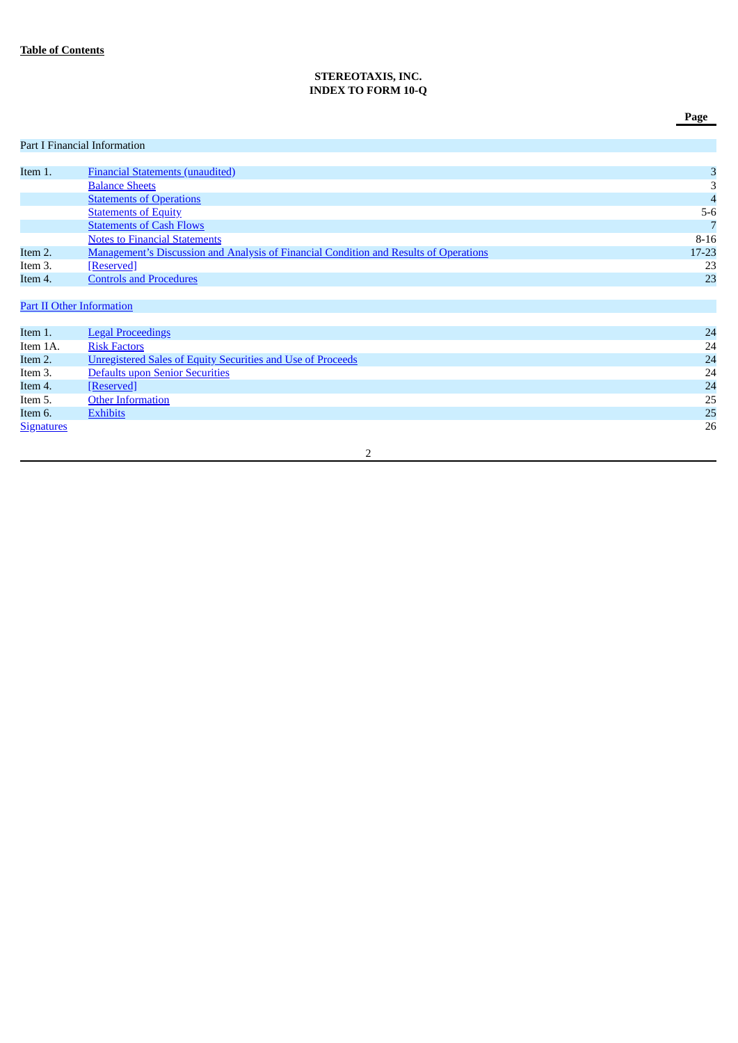# **STEREOTAXIS, INC. INDEX TO FORM 10-Q**

|                   |                                                                                              | Page           |
|-------------------|----------------------------------------------------------------------------------------------|----------------|
|                   | Part I Financial Information                                                                 |                |
|                   |                                                                                              |                |
| Item 1.           | <b>Financial Statements (unaudited)</b>                                                      | 3              |
|                   | <b>Balance Sheets</b>                                                                        | 3              |
|                   | <b>Statements of Operations</b>                                                              | $\overline{4}$ |
|                   | <b>Statements of Equity</b>                                                                  | $5-6$          |
|                   | <b>Statements of Cash Flows</b>                                                              | 7              |
|                   | <b>Notes to Financial Statements</b>                                                         | $8 - 16$       |
| Item 2.           | <b>Management's Discussion and Analysis of Financial Condition and Results of Operations</b> | $17 - 23$      |
| Item 3.           | [Reserved]                                                                                   | 23             |
| Item 4.           | <b>Controls and Procedures</b>                                                               | 23             |
|                   | <b>Part II Other Information</b>                                                             |                |
| Item 1.           | <b>Legal Proceedings</b>                                                                     | 24             |
| Item 1A.          | <b>Risk Factors</b>                                                                          | 24             |
| Item 2.           | <b>Unregistered Sales of Equity Securities and Use of Proceeds</b>                           | 24             |
| Item 3.           | Defaults upon Senior Securities                                                              | 24             |
| Item 4.           | [Reserved]                                                                                   | 24             |
| Item 5.           | <b>Other Information</b>                                                                     | 25             |
| Item 6.           | <b>Exhibits</b>                                                                              | 25             |
| <b>Signatures</b> |                                                                                              | 26             |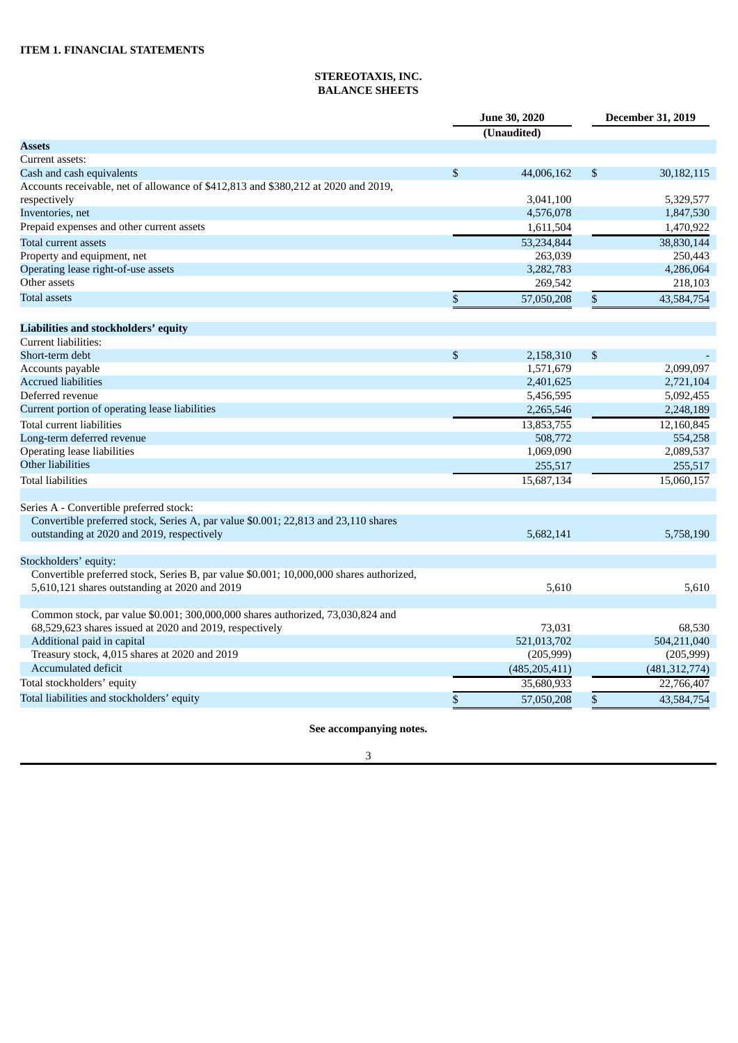# **STEREOTAXIS, INC. BALANCE SHEETS**

<span id="page-2-1"></span><span id="page-2-0"></span>

|                                                                                         |      | June 30, 2020   | <b>December 31, 2019</b> |                 |  |
|-----------------------------------------------------------------------------------------|------|-----------------|--------------------------|-----------------|--|
|                                                                                         |      | (Unaudited)     |                          |                 |  |
| Assets<br>Current assets:                                                               |      |                 |                          |                 |  |
| Cash and cash equivalents                                                               | $\$$ | 44,006,162      | \$                       | 30,182,115      |  |
| Accounts receivable, net of allowance of \$412,813 and \$380,212 at 2020 and 2019,      |      |                 |                          |                 |  |
| respectively                                                                            |      | 3,041,100       |                          | 5,329,577       |  |
| Inventories, net                                                                        |      | 4,576,078       |                          | 1,847,530       |  |
| Prepaid expenses and other current assets                                               |      | 1,611,504       |                          | 1,470,922       |  |
| Total current assets                                                                    |      | 53,234,844      |                          | 38,830,144      |  |
| Property and equipment, net                                                             |      | 263,039         |                          | 250,443         |  |
| Operating lease right-of-use assets                                                     |      | 3,282,783       |                          | 4,286,064       |  |
| Other assets                                                                            |      | 269,542         |                          | 218,103         |  |
| Total assets                                                                            |      |                 |                          |                 |  |
|                                                                                         | \$   | 57,050,208      | $\mathbb S$              | 43,584,754      |  |
| Liabilities and stockholders' equity                                                    |      |                 |                          |                 |  |
| Current liabilities:                                                                    |      |                 |                          |                 |  |
| Short-term debt                                                                         | \$   | 2,158,310       | \$                       |                 |  |
| Accounts payable                                                                        |      | 1,571,679       |                          | 2,099,097       |  |
| <b>Accrued liabilities</b>                                                              |      | 2,401,625       |                          | 2,721,104       |  |
| Deferred revenue                                                                        |      | 5,456,595       |                          | 5,092,455       |  |
| Current portion of operating lease liabilities                                          |      | 2,265,546       |                          | 2,248,189       |  |
| Total current liabilities                                                               |      | 13,853,755      |                          | 12,160,845      |  |
| Long-term deferred revenue                                                              |      | 508,772         |                          | 554,258         |  |
| Operating lease liabilities                                                             |      | 1,069,090       |                          | 2,089,537       |  |
| <b>Other liabilities</b>                                                                |      | 255,517         |                          | 255,517         |  |
| <b>Total liabilities</b>                                                                |      | 15,687,134      |                          | 15,060,157      |  |
| Series A - Convertible preferred stock:                                                 |      |                 |                          |                 |  |
| Convertible preferred stock, Series A, par value \$0.001; 22,813 and 23,110 shares      |      |                 |                          |                 |  |
| outstanding at 2020 and 2019, respectively                                              |      | 5,682,141       |                          | 5,758,190       |  |
|                                                                                         |      |                 |                          |                 |  |
| Stockholders' equity:                                                                   |      |                 |                          |                 |  |
| Convertible preferred stock, Series B, par value \$0.001; 10,000,000 shares authorized, |      |                 |                          |                 |  |
| 5,610,121 shares outstanding at 2020 and 2019                                           |      | 5,610           |                          | 5,610           |  |
| Common stock, par value \$0.001; 300,000,000 shares authorized, 73,030,824 and          |      |                 |                          |                 |  |
| 68,529,623 shares issued at 2020 and 2019, respectively                                 |      | 73,031          |                          | 68,530          |  |
| Additional paid in capital                                                              |      | 521,013,702     |                          | 504,211,040     |  |
| Treasury stock, 4,015 shares at 2020 and 2019                                           |      | (205, 999)      |                          | (205, 999)      |  |
| Accumulated deficit                                                                     |      | (485, 205, 411) |                          | (481, 312, 774) |  |
| Total stockholders' equity                                                              |      | 35,680,933      |                          | 22,766,407      |  |
| Total liabilities and stockholders' equity                                              |      |                 |                          |                 |  |
|                                                                                         | \$   | 57,050,208      | $\mathbb{S}$             | 43,584,754      |  |

**See accompanying notes.**

3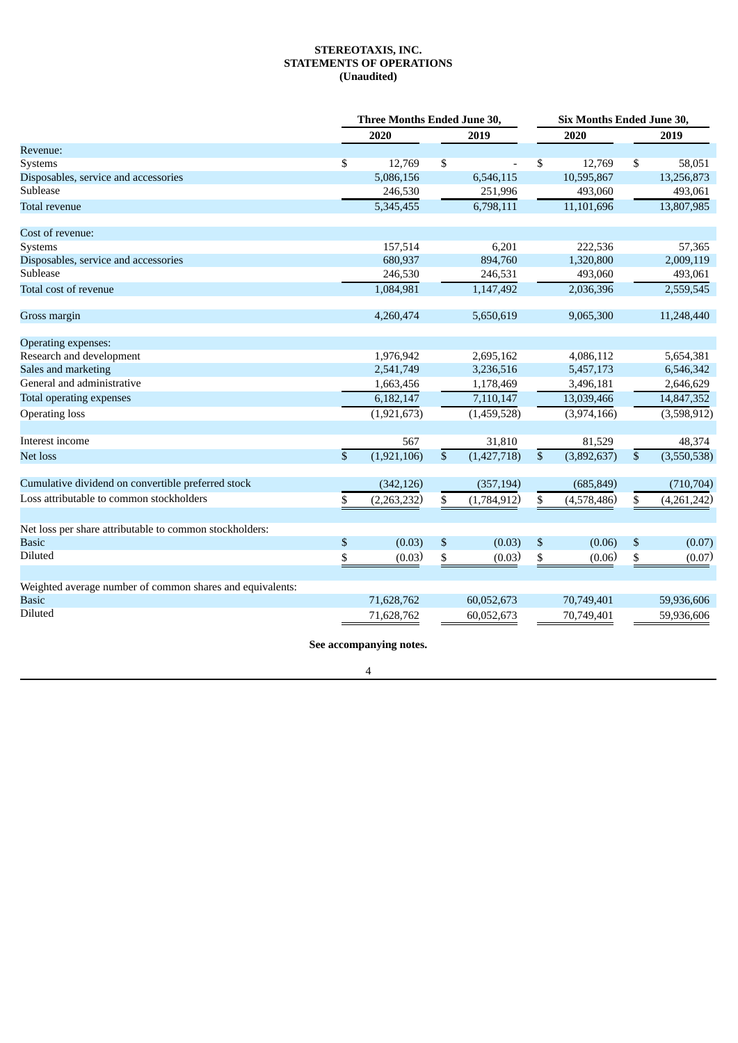# **STEREOTAXIS, INC. STATEMENTS OF OPERATIONS (Unaudited)**

<span id="page-3-0"></span>

|                                                           |               | Three Months Ended June 30, |              |             |                 |             | <b>Six Months Ended June 30,</b> |             |
|-----------------------------------------------------------|---------------|-----------------------------|--------------|-------------|-----------------|-------------|----------------------------------|-------------|
|                                                           |               | 2020                        |              | 2019        |                 | 2020        |                                  | 2019        |
| Revenue:                                                  |               |                             |              |             |                 |             |                                  |             |
| <b>Systems</b>                                            | \$            | 12,769                      | \$           |             | \$              | 12,769      | \$                               | 58,051      |
| Disposables, service and accessories                      |               | 5,086,156                   |              | 6,546,115   |                 | 10,595,867  |                                  | 13,256,873  |
| Sublease                                                  |               | 246,530                     |              | 251,996     |                 | 493,060     |                                  | 493,061     |
| <b>Total revenue</b>                                      |               | 5,345,455                   |              | 6,798,111   |                 | 11,101,696  |                                  | 13,807,985  |
| Cost of revenue:                                          |               |                             |              |             |                 |             |                                  |             |
| Systems                                                   |               | 157,514                     |              | 6,201       |                 | 222,536     |                                  | 57,365      |
| Disposables, service and accessories                      |               | 680,937                     |              | 894,760     |                 | 1,320,800   |                                  | 2,009,119   |
| Sublease                                                  |               | 246,530                     |              | 246,531     |                 | 493,060     |                                  | 493,061     |
| Total cost of revenue                                     |               | 1,084,981                   |              | 1,147,492   |                 | 2,036,396   |                                  | 2,559,545   |
| Gross margin                                              |               | 4,260,474                   |              | 5,650,619   |                 | 9,065,300   |                                  | 11,248,440  |
| <b>Operating expenses:</b>                                |               |                             |              |             |                 |             |                                  |             |
| Research and development                                  |               | 1,976,942                   |              | 2,695,162   |                 | 4,086,112   |                                  | 5,654,381   |
| Sales and marketing                                       |               | 2,541,749                   |              | 3,236,516   |                 | 5,457,173   |                                  | 6,546,342   |
| General and administrative                                |               | 1,663,456                   |              | 1,178,469   |                 | 3,496,181   |                                  | 2,646,629   |
| <b>Total operating expenses</b>                           |               | 6,182,147                   |              | 7,110,147   |                 | 13,039,466  |                                  | 14,847,352  |
| <b>Operating loss</b>                                     |               | $\overline{(1,921,673)}$    |              | (1,459,528) |                 | (3,974,166) |                                  | (3,598,912) |
| Interest income                                           |               | 567                         |              | 31,810      |                 | 81,529      |                                  | 48,374      |
| Net loss                                                  | $\mathbf{\$}$ | (1,921,106)                 | $\mathbb{S}$ | (1,427,718) | $\overline{\$}$ | (3,892,637) | $\mathbb{S}$                     | (3,550,538) |
| Cumulative dividend on convertible preferred stock        |               | (342, 126)                  |              | (357, 194)  |                 | (685, 849)  |                                  | (710, 704)  |
| Loss attributable to common stockholders                  | \$            | (2,263,232)                 | \$           | (1,784,912) | \$              | (4,578,486) | \$                               | (4,261,242) |
| Net loss per share attributable to common stockholders:   |               |                             |              |             |                 |             |                                  |             |
| <b>Basic</b>                                              | \$            | (0.03)                      | \$           | (0.03)      | \$              | (0.06)      | \$                               | (0.07)      |
| Diluted                                                   | \$            | (0.03)                      | \$           | (0.03)      | \$              | (0.06)      | \$                               | (0.07)      |
| Weighted average number of common shares and equivalents: |               |                             |              |             |                 |             |                                  |             |
| <b>Basic</b>                                              |               | 71,628,762                  |              | 60,052,673  |                 | 70,749,401  |                                  | 59,936,606  |
| Diluted                                                   |               | 71,628,762                  |              | 60,052,673  |                 | 70,749,401  |                                  | 59,936,606  |

**See accompanying notes.**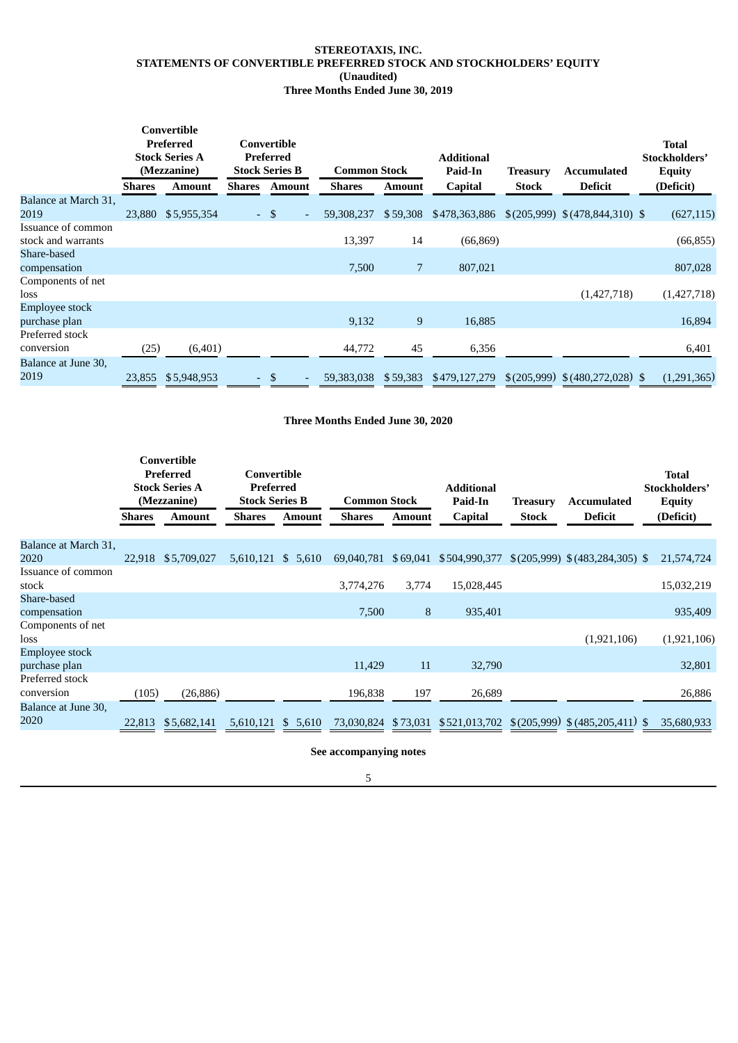# **STEREOTAXIS, INC. STATEMENTS OF CONVERTIBLE PREFERRED STOCK AND STOCKHOLDERS' EQUITY (Unaudited) Three Months Ended June 30, 2019**

<span id="page-4-0"></span>

|                                          |                                                   | Convertible   |                                                   |        |                     |               |                              |                 |                                 |                                         |
|------------------------------------------|---------------------------------------------------|---------------|---------------------------------------------------|--------|---------------------|---------------|------------------------------|-----------------|---------------------------------|-----------------------------------------|
|                                          | Preferred<br><b>Stock Series A</b><br>(Mezzanine) |               | Convertible<br>Preferred<br><b>Stock Series B</b> |        | <b>Common Stock</b> |               | <b>Additional</b><br>Paid-In | <b>Treasury</b> | Accumulated                     | Total<br>Stockholders'<br><b>Equity</b> |
|                                          | <b>Shares</b>                                     | <b>Amount</b> | Shares                                            | Amount | <b>Shares</b>       | <b>Amount</b> | <b>Capital</b>               | <b>Stock</b>    | <b>Deficit</b>                  | (Deficit)                               |
| Balance at March 31,<br>2019             | 23,880                                            | \$5,955,354   |                                                   | $-5$   | 59,308,237          | \$59,308      | \$478,363,886                |                 | $$(205,999) \$(478,844,310) \$$ | (627, 115)                              |
| Issuance of common<br>stock and warrants |                                                   |               |                                                   |        | 13,397              | 14            | (66, 869)                    |                 |                                 | (66, 855)                               |
| Share-based<br>compensation              |                                                   |               |                                                   |        | 7,500               | $7^{\circ}$   | 807,021                      |                 |                                 | 807,028                                 |
| Components of net<br>loss                |                                                   |               |                                                   |        |                     |               |                              |                 | (1,427,718)                     | (1,427,718)                             |
| Employee stock<br>purchase plan          |                                                   |               |                                                   |        | 9,132               | 9             | 16,885                       |                 |                                 | 16,894                                  |
| Preferred stock<br>conversion            | (25)                                              | (6,401)       |                                                   |        | 44,772              | 45            | 6,356                        |                 |                                 | 6,401                                   |
| Balance at June 30,<br>2019              | 23,855                                            | \$5,948,953   |                                                   | -S     | 59,383,038          | \$59,383      | \$479,127,279                |                 | \$(205,999) \$(480,272,028) \$  | (1,291,365)                             |

# **Three Months Ended June 30, 2020**

|                                        | Convertible<br>Preferred<br><b>Stock Series A</b><br>(Mezzanine) |               | Convertible<br>Preferred<br><b>Stock Series B</b> |               | <b>Common Stock</b> |               | <b>Additional</b><br>Paid-In      | <b>Accumulated</b><br><b>Treasury</b> |                                 | <b>Total</b><br>Stockholders'<br><b>Equity</b> |
|----------------------------------------|------------------------------------------------------------------|---------------|---------------------------------------------------|---------------|---------------------|---------------|-----------------------------------|---------------------------------------|---------------------------------|------------------------------------------------|
|                                        | <b>Shares</b>                                                    | <b>Amount</b> | <b>Shares</b>                                     | <b>Amount</b> | <b>Shares</b>       | <b>Amount</b> | <b>Capital</b>                    | <b>Stock</b>                          | <b>Deficit</b>                  | (Deficit)                                      |
| Balance at March 31,<br>2020           | 22,918                                                           | \$5,709,027   | 5,610,121 \$ 5,610                                |               | 69,040,781          |               | \$69,041 \$504,990,377            |                                       | $$(205,999) \$(483,284,305) \$$ | 21,574,724                                     |
| Issuance of common<br>stock            |                                                                  |               |                                                   |               | 3,774,276           | 3,774         | 15,028,445                        |                                       |                                 | 15,032,219                                     |
| Share-based<br>compensation            |                                                                  |               |                                                   |               | 7,500               | 8             | 935,401                           |                                       |                                 | 935,409                                        |
| Components of net<br>loss              |                                                                  |               |                                                   |               |                     |               |                                   |                                       | (1,921,106)                     | (1,921,106)                                    |
| <b>Employee stock</b><br>purchase plan |                                                                  |               |                                                   |               | 11,429              | 11            | 32,790                            |                                       |                                 | 32,801                                         |
| Preferred stock<br>conversion          | (105)                                                            | (26, 886)     |                                                   |               | 196,838             | 197           | 26,689                            |                                       |                                 | 26,886                                         |
| Balance at June 30,<br>2020            | 22,813                                                           | \$5,682,141   | 5,610,121                                         | \$5,610       |                     |               | 73,030,824 \$73,031 \$521,013,702 |                                       | $$(205,999) \$(485,205,411) \$$ | 35,680,933                                     |

**See accompanying notes**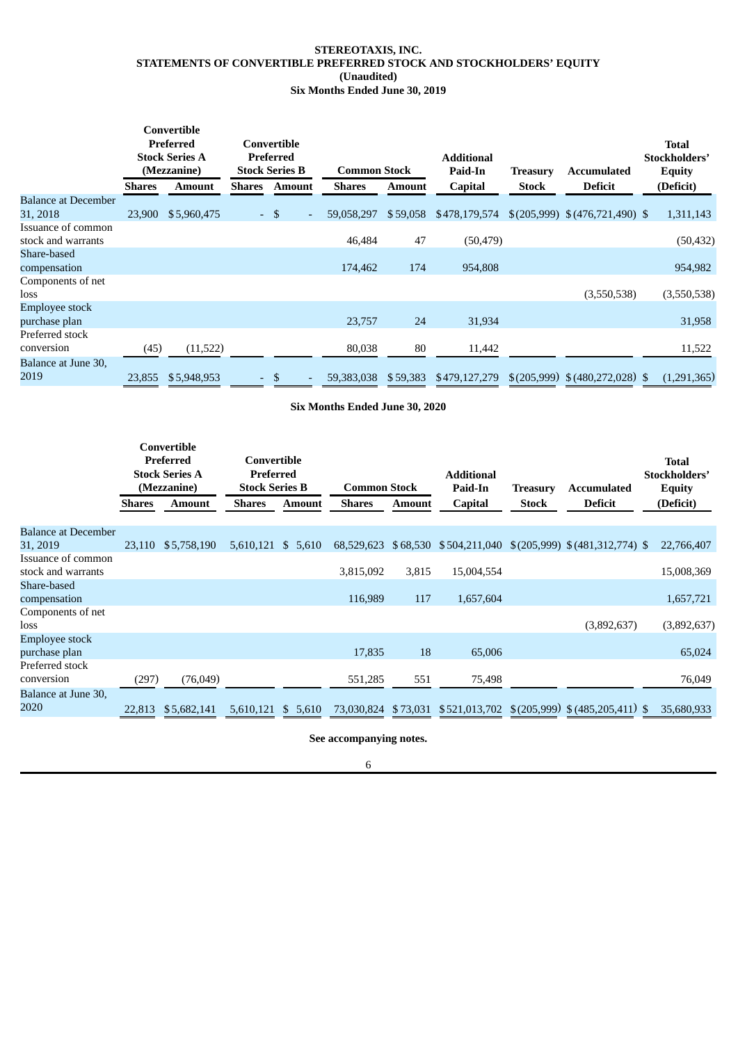# **STEREOTAXIS, INC. STATEMENTS OF CONVERTIBLE PREFERRED STOCK AND STOCKHOLDERS' EQUITY (Unaudited) Six Months Ended June 30, 2019**

|                                          |                                                   | Convertible   |                                                   |                      |                     |               |                              |              |                                 |                                                |
|------------------------------------------|---------------------------------------------------|---------------|---------------------------------------------------|----------------------|---------------------|---------------|------------------------------|--------------|---------------------------------|------------------------------------------------|
|                                          | Preferred<br><b>Stock Series A</b><br>(Mezzanine) |               | Convertible<br>Preferred<br><b>Stock Series B</b> |                      | <b>Common Stock</b> |               | <b>Additional</b><br>Paid-In | Treasury     | <b>Accumulated</b>              | <b>Total</b><br>Stockholders'<br><b>Equity</b> |
|                                          | <b>Shares</b>                                     | <b>Amount</b> |                                                   | <b>Shares</b> Amount | <b>Shares</b>       | <b>Amount</b> | <b>Capital</b>               | <b>Stock</b> | <b>Deficit</b>                  | (Deficit)                                      |
| <b>Balance at December</b><br>31, 2018   | 23,900                                            | \$5,960,475   |                                                   | $-5$                 | 59,058,297          | \$59,058      | \$478,179,574                |              | $$(205,999) \$(476,721,490) \$$ | 1,311,143                                      |
| Issuance of common<br>stock and warrants |                                                   |               |                                                   |                      | 46,484              | 47            | (50, 479)                    |              |                                 | (50, 432)                                      |
| Share-based<br>compensation              |                                                   |               |                                                   |                      | 174,462             | 174           | 954,808                      |              |                                 | 954,982                                        |
| Components of net<br>loss                |                                                   |               |                                                   |                      |                     |               |                              |              | (3,550,538)                     | (3,550,538)                                    |
| Employee stock<br>purchase plan          |                                                   |               |                                                   |                      | 23,757              | 24            | 31,934                       |              |                                 | 31,958                                         |
| Preferred stock<br>conversion            | (45)                                              | (11,522)      |                                                   |                      | 80,038              | 80            | 11,442                       |              |                                 | 11,522                                         |
| Balance at June 30,<br>2019              | 23,855                                            | \$5,948,953   |                                                   | \$.                  | 59,383,038          | \$59,383      | \$479,127,279                |              | \$(205,999) \$(480,272,028) \$  | (1,291,365)                                    |

**Six Months Ended June 30, 2020**

|                                          | Convertible<br>Preferred<br><b>Stock Series A</b><br>(Mezzanine) |                    | Convertible<br>Preferred<br><b>Stock Series B</b> |               | <b>Common Stock</b><br><b>Shares</b> |               | <b>Additional</b><br>Paid-In | <b>Accumulated</b><br><b>Treasury</b> |                                                                  | <b>Total</b><br>Stockholders'<br><b>Equity</b> |
|------------------------------------------|------------------------------------------------------------------|--------------------|---------------------------------------------------|---------------|--------------------------------------|---------------|------------------------------|---------------------------------------|------------------------------------------------------------------|------------------------------------------------|
|                                          | <b>Shares</b>                                                    | <b>Amount</b>      | <b>Shares</b>                                     | <b>Amount</b> |                                      | <b>Amount</b> | <b>Capital</b>               | <b>Stock</b>                          | <b>Deficit</b>                                                   | (Deficit)                                      |
| <b>Balance at December</b><br>31, 2019   | 23.110                                                           | \$5,758,190        | 5,610,121 \$ 5,610                                |               |                                      |               |                              |                                       | 68,529,623 \$68,530 \$504,211,040 \$(205,999) \$(481,312,774) \$ | 22,766,407                                     |
| Issuance of common<br>stock and warrants |                                                                  |                    |                                                   |               | 3,815,092                            | 3,815         | 15,004,554                   |                                       |                                                                  | 15,008,369                                     |
| Share-based<br>compensation              |                                                                  |                    |                                                   |               | 116,989                              | 117           | 1,657,604                    |                                       |                                                                  | 1,657,721                                      |
| Components of net<br>loss                |                                                                  |                    |                                                   |               |                                      |               |                              |                                       | (3,892,637)                                                      | (3,892,637)                                    |
| <b>Employee stock</b><br>purchase plan   |                                                                  |                    |                                                   |               | 17,835                               | 18            | 65,006                       |                                       |                                                                  | 65,024                                         |
| Preferred stock<br>conversion            | (297)                                                            | (76, 049)          |                                                   |               | 551,285                              | 551           | 75,498                       |                                       |                                                                  | 76,049                                         |
| Balance at June 30,<br>2020              |                                                                  | 22,813 \$5,682,141 | 5,610,121 \$ 5,610                                |               |                                      |               |                              |                                       | 73,030,824 \$73,031 \$521,013,702 \$(205,999) \$(485,205,411) \$ | 35,680,933                                     |

**See accompanying notes.**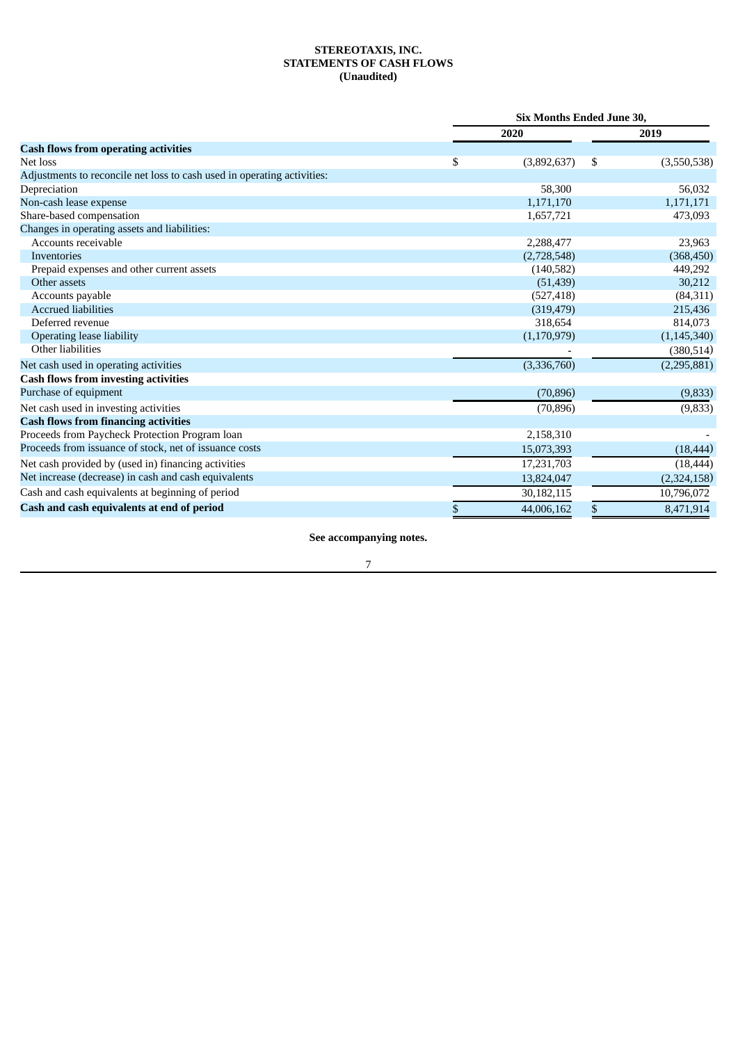# **STEREOTAXIS, INC. STATEMENTS OF CASH FLOWS (Unaudited)**

<span id="page-6-0"></span>

|                                                                         | <b>Six Months Ended June 30,</b> |    |               |  |  |  |  |  |
|-------------------------------------------------------------------------|----------------------------------|----|---------------|--|--|--|--|--|
|                                                                         | 2020                             |    | 2019          |  |  |  |  |  |
| <b>Cash flows from operating activities</b>                             |                                  |    |               |  |  |  |  |  |
| Net loss                                                                | \$<br>(3,892,637)                | S. | (3,550,538)   |  |  |  |  |  |
| Adjustments to reconcile net loss to cash used in operating activities: |                                  |    |               |  |  |  |  |  |
| Depreciation                                                            | 58,300                           |    | 56,032        |  |  |  |  |  |
| Non-cash lease expense                                                  | 1,171,170                        |    | 1,171,171     |  |  |  |  |  |
| Share-based compensation                                                | 1,657,721                        |    | 473,093       |  |  |  |  |  |
| Changes in operating assets and liabilities:                            |                                  |    |               |  |  |  |  |  |
| Accounts receivable                                                     | 2,288,477                        |    | 23,963        |  |  |  |  |  |
| Inventories                                                             | (2,728,548)                      |    | (368, 450)    |  |  |  |  |  |
| Prepaid expenses and other current assets                               | (140, 582)                       |    | 449,292       |  |  |  |  |  |
| Other assets                                                            | (51, 439)                        |    | 30,212        |  |  |  |  |  |
| Accounts payable                                                        | (527, 418)                       |    | (84,311)      |  |  |  |  |  |
| <b>Accrued liabilities</b>                                              | (319, 479)                       |    | 215,436       |  |  |  |  |  |
| Deferred revenue                                                        | 318,654                          |    | 814,073       |  |  |  |  |  |
| Operating lease liability                                               | (1,170,979)                      |    | (1, 145, 340) |  |  |  |  |  |
| Other liabilities                                                       |                                  |    | (380, 514)    |  |  |  |  |  |
| Net cash used in operating activities                                   | (3,336,760)                      |    | (2,295,881)   |  |  |  |  |  |
| <b>Cash flows from investing activities</b>                             |                                  |    |               |  |  |  |  |  |
| Purchase of equipment                                                   | (70, 896)                        |    | (9,833)       |  |  |  |  |  |
| Net cash used in investing activities                                   | (70, 896)                        |    | (9, 833)      |  |  |  |  |  |
| <b>Cash flows from financing activities</b>                             |                                  |    |               |  |  |  |  |  |
| Proceeds from Paycheck Protection Program loan                          | 2,158,310                        |    |               |  |  |  |  |  |
| Proceeds from issuance of stock, net of issuance costs                  | 15,073,393                       |    | (18, 444)     |  |  |  |  |  |
| Net cash provided by (used in) financing activities                     | 17,231,703                       |    | (18, 444)     |  |  |  |  |  |
| Net increase (decrease) in cash and cash equivalents                    | 13,824,047                       |    | (2,324,158)   |  |  |  |  |  |
| Cash and cash equivalents at beginning of period                        | 30,182,115                       |    | 10,796,072    |  |  |  |  |  |
| Cash and cash equivalents at end of period                              | \$<br>44,006,162                 | \$ | 8,471,914     |  |  |  |  |  |
|                                                                         |                                  |    |               |  |  |  |  |  |

**See accompanying notes.**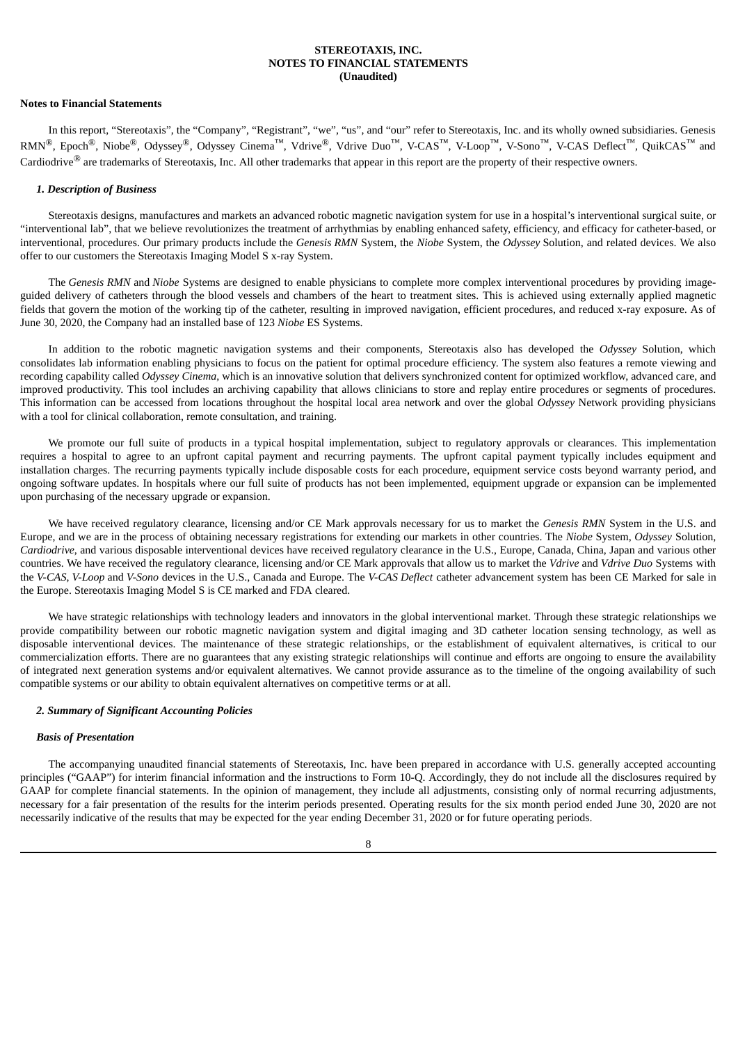# **STEREOTAXIS, INC. NOTES TO FINANCIAL STATEMENTS (Unaudited)**

### <span id="page-7-0"></span>**Notes to Financial Statements**

In this report, "Stereotaxis", the "Company", "Registrant", "we", "us", and "our" refer to Stereotaxis, Inc. and its wholly owned subsidiaries. Genesis  $\text{RMN}^{\circledR}, \text{ Epoch}^{\circledR}, \text{ Niobe}^{\circledR}, \text{ Odyssey}^{\circledR}, \text{ Odyssey Cinema}^{\pi}, \text{ Vdrive}^{\circledR}, \text{ Vdrive Duo}^{\pi \textsf{M}}, \text{ V-Coop}^{\pi \textsf{M}}, \text{ V-Sono}^{\pi \textsf{M}}, \text{ V-CAS Deflect}^{\pi \textsf{M}}, \text{ QuikCAS}^{\pi \textsf{M}} \text{ and } \text{Cov}^{\pi \textsf{M}}.$ Cardiodrive<sup>®</sup> are trademarks of Stereotaxis, Inc. All other trademarks that appear in this report are the property of their respective owners.

# *1. Description of Business*

Stereotaxis designs, manufactures and markets an advanced robotic magnetic navigation system for use in a hospital's interventional surgical suite, or "interventional lab", that we believe revolutionizes the treatment of arrhythmias by enabling enhanced safety, efficiency, and efficacy for catheter-based, or interventional, procedures. Our primary products include the *Genesis RMN* System, the *Niobe* System, the *Odyssey* Solution, and related devices. We also offer to our customers the Stereotaxis Imaging Model S x-ray System.

The *Genesis RMN* and *Niobe* Systems are designed to enable physicians to complete more complex interventional procedures by providing imageguided delivery of catheters through the blood vessels and chambers of the heart to treatment sites. This is achieved using externally applied magnetic fields that govern the motion of the working tip of the catheter, resulting in improved navigation, efficient procedures, and reduced x-ray exposure. As of June 30, 2020, the Company had an installed base of 123 *Niobe* ES Systems.

In addition to the robotic magnetic navigation systems and their components, Stereotaxis also has developed the *Odyssey* Solution, which consolidates lab information enabling physicians to focus on the patient for optimal procedure efficiency. The system also features a remote viewing and recording capability called *Odyssey Cinema*, which is an innovative solution that delivers synchronized content for optimized workflow, advanced care, and improved productivity. This tool includes an archiving capability that allows clinicians to store and replay entire procedures or segments of procedures. This information can be accessed from locations throughout the hospital local area network and over the global *Odyssey* Network providing physicians with a tool for clinical collaboration, remote consultation, and training.

We promote our full suite of products in a typical hospital implementation, subject to regulatory approvals or clearances. This implementation requires a hospital to agree to an upfront capital payment and recurring payments. The upfront capital payment typically includes equipment and installation charges. The recurring payments typically include disposable costs for each procedure, equipment service costs beyond warranty period, and ongoing software updates. In hospitals where our full suite of products has not been implemented, equipment upgrade or expansion can be implemented upon purchasing of the necessary upgrade or expansion.

We have received regulatory clearance, licensing and/or CE Mark approvals necessary for us to market the *Genesis RMN* System in the U.S. and Europe, and we are in the process of obtaining necessary registrations for extending our markets in other countries. The *Niobe* System, *Odyssey* Solution, *Cardiodrive*, and various disposable interventional devices have received regulatory clearance in the U.S., Europe, Canada, China, Japan and various other countries. We have received the regulatory clearance, licensing and/or CE Mark approvals that allow us to market the *Vdrive* and *Vdrive Duo* Systems with the *V-CAS*, *V-Loop* and *V-Sono* devices in the U.S., Canada and Europe. The *V-CAS Deflect* catheter advancement system has been CE Marked for sale in the Europe. Stereotaxis Imaging Model S is CE marked and FDA cleared.

We have strategic relationships with technology leaders and innovators in the global interventional market. Through these strategic relationships we provide compatibility between our robotic magnetic navigation system and digital imaging and 3D catheter location sensing technology, as well as disposable interventional devices. The maintenance of these strategic relationships, or the establishment of equivalent alternatives, is critical to our commercialization efforts. There are no guarantees that any existing strategic relationships will continue and efforts are ongoing to ensure the availability of integrated next generation systems and/or equivalent alternatives. We cannot provide assurance as to the timeline of the ongoing availability of such compatible systems or our ability to obtain equivalent alternatives on competitive terms or at all.

# *2. Summary of Significant Accounting Policies*

# *Basis of Presentation*

The accompanying unaudited financial statements of Stereotaxis, Inc. have been prepared in accordance with U.S. generally accepted accounting principles ("GAAP") for interim financial information and the instructions to Form 10-Q. Accordingly, they do not include all the disclosures required by GAAP for complete financial statements. In the opinion of management, they include all adjustments, consisting only of normal recurring adjustments, necessary for a fair presentation of the results for the interim periods presented. Operating results for the six month period ended June 30, 2020 are not necessarily indicative of the results that may be expected for the year ending December 31, 2020 or for future operating periods.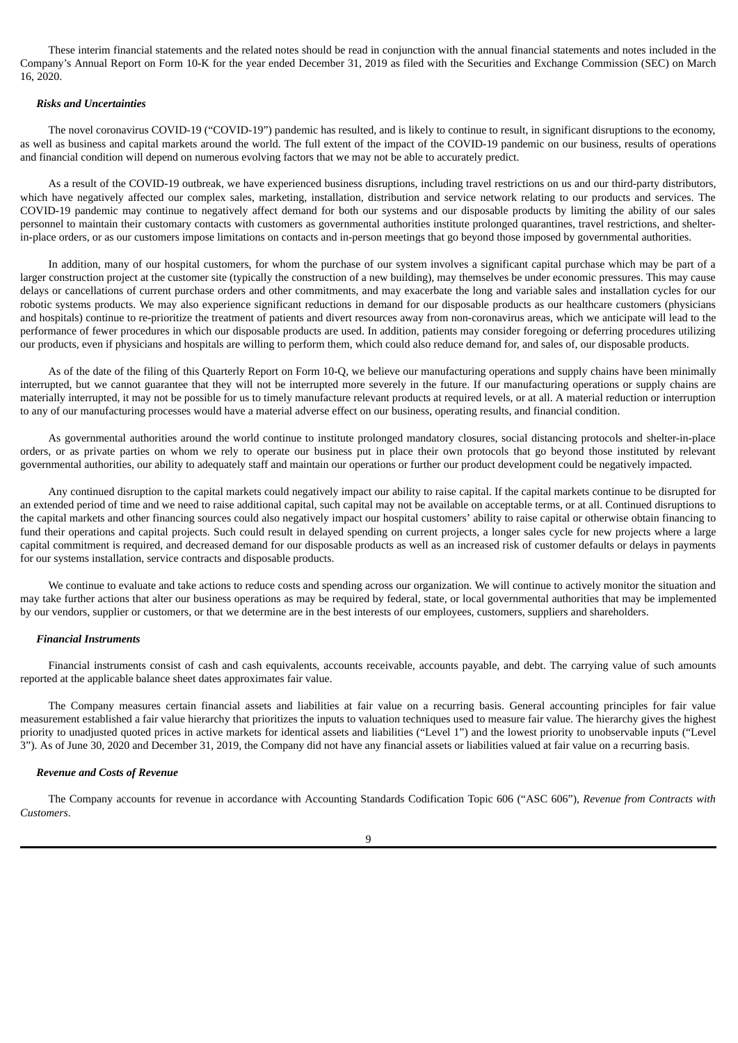These interim financial statements and the related notes should be read in conjunction with the annual financial statements and notes included in the Company's Annual Report on Form 10-K for the year ended December 31, 2019 as filed with the Securities and Exchange Commission (SEC) on March 16, 2020.

# *Risks and Uncertainties*

The novel coronavirus COVID-19 ("COVID-19") pandemic has resulted, and is likely to continue to result, in significant disruptions to the economy, as well as business and capital markets around the world. The full extent of the impact of the COVID-19 pandemic on our business, results of operations and financial condition will depend on numerous evolving factors that we may not be able to accurately predict.

As a result of the COVID-19 outbreak, we have experienced business disruptions, including travel restrictions on us and our third-party distributors, which have negatively affected our complex sales, marketing, installation, distribution and service network relating to our products and services. The COVID-19 pandemic may continue to negatively affect demand for both our systems and our disposable products by limiting the ability of our sales personnel to maintain their customary contacts with customers as governmental authorities institute prolonged quarantines, travel restrictions, and shelterin-place orders, or as our customers impose limitations on contacts and in-person meetings that go beyond those imposed by governmental authorities.

In addition, many of our hospital customers, for whom the purchase of our system involves a significant capital purchase which may be part of a larger construction project at the customer site (typically the construction of a new building), may themselves be under economic pressures. This may cause delays or cancellations of current purchase orders and other commitments, and may exacerbate the long and variable sales and installation cycles for our robotic systems products. We may also experience significant reductions in demand for our disposable products as our healthcare customers (physicians and hospitals) continue to re-prioritize the treatment of patients and divert resources away from non-coronavirus areas, which we anticipate will lead to the performance of fewer procedures in which our disposable products are used. In addition, patients may consider foregoing or deferring procedures utilizing our products, even if physicians and hospitals are willing to perform them, which could also reduce demand for, and sales of, our disposable products.

As of the date of the filing of this Quarterly Report on Form 10-Q, we believe our manufacturing operations and supply chains have been minimally interrupted, but we cannot guarantee that they will not be interrupted more severely in the future. If our manufacturing operations or supply chains are materially interrupted, it may not be possible for us to timely manufacture relevant products at required levels, or at all. A material reduction or interruption to any of our manufacturing processes would have a material adverse effect on our business, operating results, and financial condition.

As governmental authorities around the world continue to institute prolonged mandatory closures, social distancing protocols and shelter-in-place orders, or as private parties on whom we rely to operate our business put in place their own protocols that go beyond those instituted by relevant governmental authorities, our ability to adequately staff and maintain our operations or further our product development could be negatively impacted.

Any continued disruption to the capital markets could negatively impact our ability to raise capital. If the capital markets continue to be disrupted for an extended period of time and we need to raise additional capital, such capital may not be available on acceptable terms, or at all. Continued disruptions to the capital markets and other financing sources could also negatively impact our hospital customers' ability to raise capital or otherwise obtain financing to fund their operations and capital projects. Such could result in delayed spending on current projects, a longer sales cycle for new projects where a large capital commitment is required, and decreased demand for our disposable products as well as an increased risk of customer defaults or delays in payments for our systems installation, service contracts and disposable products.

We continue to evaluate and take actions to reduce costs and spending across our organization. We will continue to actively monitor the situation and may take further actions that alter our business operations as may be required by federal, state, or local governmental authorities that may be implemented by our vendors, supplier or customers, or that we determine are in the best interests of our employees, customers, suppliers and shareholders.

#### *Financial Instruments*

Financial instruments consist of cash and cash equivalents, accounts receivable, accounts payable, and debt. The carrying value of such amounts reported at the applicable balance sheet dates approximates fair value.

The Company measures certain financial assets and liabilities at fair value on a recurring basis. General accounting principles for fair value measurement established a fair value hierarchy that prioritizes the inputs to valuation techniques used to measure fair value. The hierarchy gives the highest priority to unadjusted quoted prices in active markets for identical assets and liabilities ("Level 1") and the lowest priority to unobservable inputs ("Level 3"). As of June 30, 2020 and December 31, 2019, the Company did not have any financial assets or liabilities valued at fair value on a recurring basis.

# *Revenue and Costs of Revenue*

The Company accounts for revenue in accordance with Accounting Standards Codification Topic 606 ("ASC 606"), *Revenue from Contracts with Customers*.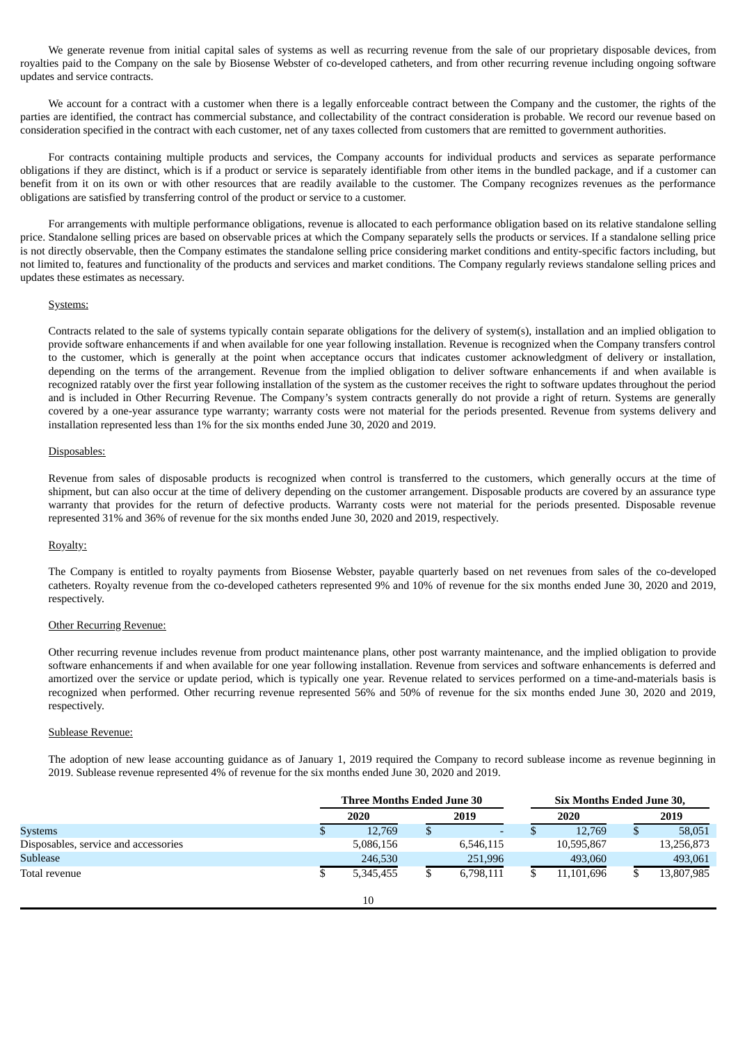We generate revenue from initial capital sales of systems as well as recurring revenue from the sale of our proprietary disposable devices, from royalties paid to the Company on the sale by Biosense Webster of co-developed catheters, and from other recurring revenue including ongoing software updates and service contracts.

We account for a contract with a customer when there is a legally enforceable contract between the Company and the customer, the rights of the parties are identified, the contract has commercial substance, and collectability of the contract consideration is probable. We record our revenue based on consideration specified in the contract with each customer, net of any taxes collected from customers that are remitted to government authorities.

For contracts containing multiple products and services, the Company accounts for individual products and services as separate performance obligations if they are distinct, which is if a product or service is separately identifiable from other items in the bundled package, and if a customer can benefit from it on its own or with other resources that are readily available to the customer. The Company recognizes revenues as the performance obligations are satisfied by transferring control of the product or service to a customer.

For arrangements with multiple performance obligations, revenue is allocated to each performance obligation based on its relative standalone selling price. Standalone selling prices are based on observable prices at which the Company separately sells the products or services. If a standalone selling price is not directly observable, then the Company estimates the standalone selling price considering market conditions and entity-specific factors including, but not limited to, features and functionality of the products and services and market conditions. The Company regularly reviews standalone selling prices and updates these estimates as necessary.

### Systems:

Contracts related to the sale of systems typically contain separate obligations for the delivery of system(s), installation and an implied obligation to provide software enhancements if and when available for one year following installation. Revenue is recognized when the Company transfers control to the customer, which is generally at the point when acceptance occurs that indicates customer acknowledgment of delivery or installation, depending on the terms of the arrangement. Revenue from the implied obligation to deliver software enhancements if and when available is recognized ratably over the first year following installation of the system as the customer receives the right to software updates throughout the period and is included in Other Recurring Revenue. The Company's system contracts generally do not provide a right of return. Systems are generally covered by a one-year assurance type warranty; warranty costs were not material for the periods presented. Revenue from systems delivery and installation represented less than 1% for the six months ended June 30, 2020 and 2019.

#### Disposables:

Revenue from sales of disposable products is recognized when control is transferred to the customers, which generally occurs at the time of shipment, but can also occur at the time of delivery depending on the customer arrangement. Disposable products are covered by an assurance type warranty that provides for the return of defective products. Warranty costs were not material for the periods presented. Disposable revenue represented 31% and 36% of revenue for the six months ended June 30, 2020 and 2019, respectively.

### Royalty:

The Company is entitled to royalty payments from Biosense Webster, payable quarterly based on net revenues from sales of the co-developed catheters. Royalty revenue from the co-developed catheters represented 9% and 10% of revenue for the six months ended June 30, 2020 and 2019, respectively.

# Other Recurring Revenue:

Other recurring revenue includes revenue from product maintenance plans, other post warranty maintenance, and the implied obligation to provide software enhancements if and when available for one year following installation. Revenue from services and software enhancements is deferred and amortized over the service or update period, which is typically one year. Revenue related to services performed on a time-and-materials basis is recognized when performed. Other recurring revenue represented 56% and 50% of revenue for the six months ended June 30, 2020 and 2019, respectively.

#### Sublease Revenue:

The adoption of new lease accounting guidance as of January 1, 2019 required the Company to record sublease income as revenue beginning in 2019. Sublease revenue represented 4% of revenue for the six months ended June 30, 2020 and 2019.

|                                      | <b>Three Months Ended June 30</b> |                          |            | Six Months Ended June 30, |            |  |  |
|--------------------------------------|-----------------------------------|--------------------------|------------|---------------------------|------------|--|--|
|                                      | 2020                              | 2019                     | 2020       |                           | 2019       |  |  |
| <b>Systems</b>                       | 12.769                            | $\overline{\phantom{0}}$ | 12.769     | Φ                         | 58,051     |  |  |
| Disposables, service and accessories | 5,086,156                         | 6,546,115                | 10,595,867 |                           | 13,256,873 |  |  |
| Sublease                             | 246,530                           | 251,996                  | 493,060    |                           | 493,061    |  |  |
| Total revenue                        | 5.345.455                         | 6.798.111                | 11,101,696 |                           | 13,807,985 |  |  |
|                                      | $\sim$                            |                          |            |                           |            |  |  |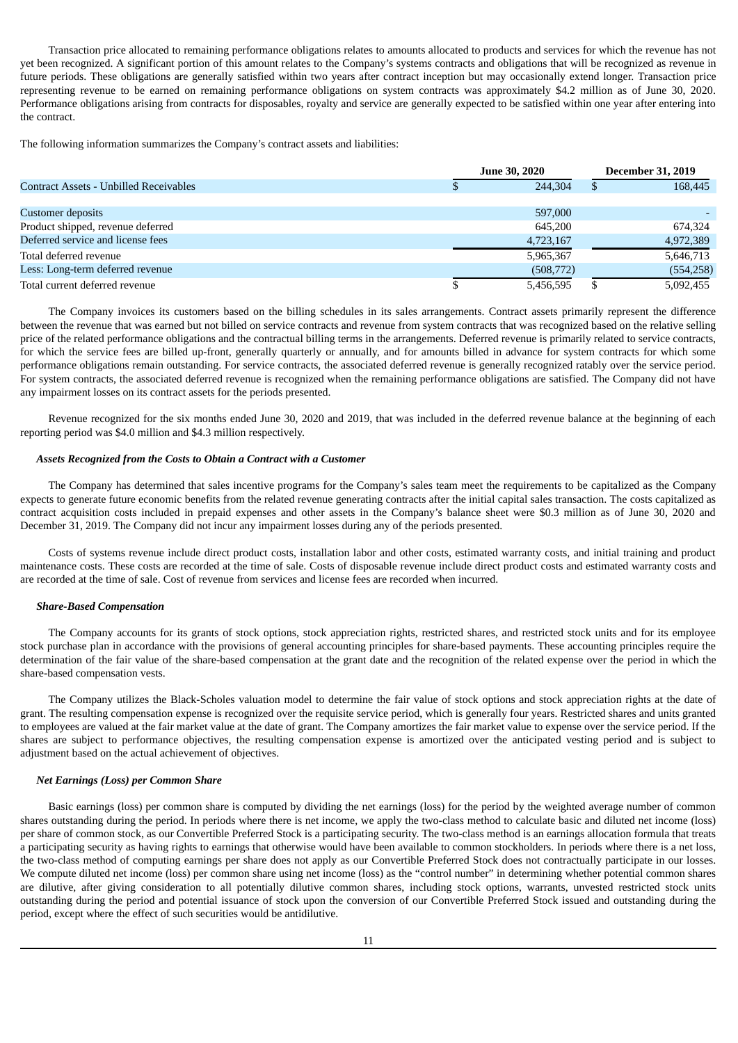Transaction price allocated to remaining performance obligations relates to amounts allocated to products and services for which the revenue has not yet been recognized. A significant portion of this amount relates to the Company's systems contracts and obligations that will be recognized as revenue in future periods. These obligations are generally satisfied within two years after contract inception but may occasionally extend longer. Transaction price representing revenue to be earned on remaining performance obligations on system contracts was approximately \$4.2 million as of June 30, 2020. Performance obligations arising from contracts for disposables, royalty and service are generally expected to be satisfied within one year after entering into the contract.

The following information summarizes the Company's contract assets and liabilities:

|                                        | <b>June 30, 2020</b> | <b>December 31, 2019</b> |
|----------------------------------------|----------------------|--------------------------|
| Contract Assets - Unbilled Receivables | 244,304              | 168,445                  |
|                                        |                      |                          |
| Customer deposits                      | 597,000              |                          |
| Product shipped, revenue deferred      | 645,200              | 674.324                  |
| Deferred service and license fees      | 4,723,167            | 4,972,389                |
| Total deferred revenue                 | 5,965,367            | 5,646,713                |
| Less: Long-term deferred revenue       | (508, 772)           | (554, 258)               |
| Total current deferred revenue         | 5,456,595            | 5,092,455                |

The Company invoices its customers based on the billing schedules in its sales arrangements. Contract assets primarily represent the difference between the revenue that was earned but not billed on service contracts and revenue from system contracts that was recognized based on the relative selling price of the related performance obligations and the contractual billing terms in the arrangements. Deferred revenue is primarily related to service contracts, for which the service fees are billed up-front, generally quarterly or annually, and for amounts billed in advance for system contracts for which some performance obligations remain outstanding. For service contracts, the associated deferred revenue is generally recognized ratably over the service period. For system contracts, the associated deferred revenue is recognized when the remaining performance obligations are satisfied. The Company did not have any impairment losses on its contract assets for the periods presented.

Revenue recognized for the six months ended June 30, 2020 and 2019, that was included in the deferred revenue balance at the beginning of each reporting period was \$4.0 million and \$4.3 million respectively.

# *Assets Recognized from the Costs to Obtain a Contract with a Customer*

The Company has determined that sales incentive programs for the Company's sales team meet the requirements to be capitalized as the Company expects to generate future economic benefits from the related revenue generating contracts after the initial capital sales transaction. The costs capitalized as contract acquisition costs included in prepaid expenses and other assets in the Company's balance sheet were \$0.3 million as of June 30, 2020 and December 31, 2019. The Company did not incur any impairment losses during any of the periods presented.

Costs of systems revenue include direct product costs, installation labor and other costs, estimated warranty costs, and initial training and product maintenance costs. These costs are recorded at the time of sale. Costs of disposable revenue include direct product costs and estimated warranty costs and are recorded at the time of sale. Cost of revenue from services and license fees are recorded when incurred.

#### *Share-Based Compensation*

The Company accounts for its grants of stock options, stock appreciation rights, restricted shares, and restricted stock units and for its employee stock purchase plan in accordance with the provisions of general accounting principles for share-based payments. These accounting principles require the determination of the fair value of the share-based compensation at the grant date and the recognition of the related expense over the period in which the share-based compensation vests.

The Company utilizes the Black-Scholes valuation model to determine the fair value of stock options and stock appreciation rights at the date of grant. The resulting compensation expense is recognized over the requisite service period, which is generally four years. Restricted shares and units granted to employees are valued at the fair market value at the date of grant. The Company amortizes the fair market value to expense over the service period. If the shares are subject to performance objectives, the resulting compensation expense is amortized over the anticipated vesting period and is subject to adjustment based on the actual achievement of objectives.

#### *Net Earnings (Loss) per Common Share*

Basic earnings (loss) per common share is computed by dividing the net earnings (loss) for the period by the weighted average number of common shares outstanding during the period. In periods where there is net income, we apply the two-class method to calculate basic and diluted net income (loss) per share of common stock, as our Convertible Preferred Stock is a participating security. The two-class method is an earnings allocation formula that treats a participating security as having rights to earnings that otherwise would have been available to common stockholders. In periods where there is a net loss, the two-class method of computing earnings per share does not apply as our Convertible Preferred Stock does not contractually participate in our losses. We compute diluted net income (loss) per common share using net income (loss) as the "control number" in determining whether potential common shares are dilutive, after giving consideration to all potentially dilutive common shares, including stock options, warrants, unvested restricted stock units outstanding during the period and potential issuance of stock upon the conversion of our Convertible Preferred Stock issued and outstanding during the period, except where the effect of such securities would be antidilutive.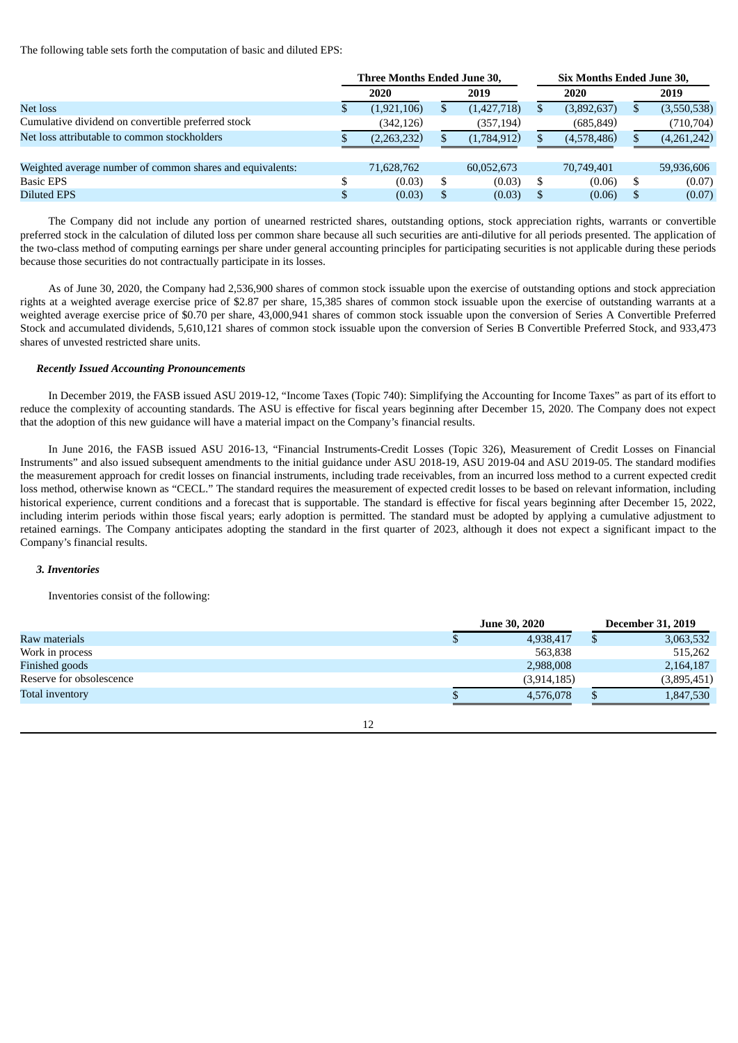The following table sets forth the computation of basic and diluted EPS:

|                                                           | Three Months Ended June 30, |   | <b>Six Months Ended June 30,</b> |               |             |   |             |
|-----------------------------------------------------------|-----------------------------|---|----------------------------------|---------------|-------------|---|-------------|
|                                                           | 2020                        |   | 2019                             |               | 2020        |   | 2019        |
| Net loss                                                  | (1,921,106)                 |   | (1,427,718)                      |               | (3,892,637) | S | (3,550,538) |
| Cumulative dividend on convertible preferred stock        | (342, 126)                  |   | (357, 194)                       |               | (685, 849)  |   | (710, 704)  |
| Net loss attributable to common stockholders              | (2,263,232)                 |   | (1,784,912)                      |               | (4,578,486) |   | (4,261,242) |
| Weighted average number of common shares and equivalents: | 71,628,762                  |   | 60,052,673                       |               | 70.749.401  |   | 59,936,606  |
| <b>Basic EPS</b>                                          | (0.03)                      | S | (0.03)                           | -S            | (0.06)      | S | (0.07)      |
| <b>Diluted EPS</b>                                        | (0.03)                      | S | (0.03)                           | <sup>\$</sup> | (0.06)      |   | (0.07)      |

The Company did not include any portion of unearned restricted shares, outstanding options, stock appreciation rights, warrants or convertible preferred stock in the calculation of diluted loss per common share because all such securities are anti-dilutive for all periods presented. The application of the two-class method of computing earnings per share under general accounting principles for participating securities is not applicable during these periods because those securities do not contractually participate in its losses.

As of June 30, 2020, the Company had 2,536,900 shares of common stock issuable upon the exercise of outstanding options and stock appreciation rights at a weighted average exercise price of \$2.87 per share, 15,385 shares of common stock issuable upon the exercise of outstanding warrants at a weighted average exercise price of \$0.70 per share, 43,000,941 shares of common stock issuable upon the conversion of Series A Convertible Preferred Stock and accumulated dividends, 5,610,121 shares of common stock issuable upon the conversion of Series B Convertible Preferred Stock, and 933,473 shares of unvested restricted share units.

### *Recently Issued Accounting Pronouncements*

In December 2019, the FASB issued ASU 2019-12, "Income Taxes (Topic 740): Simplifying the Accounting for Income Taxes" as part of its effort to reduce the complexity of accounting standards. The ASU is effective for fiscal years beginning after December 15, 2020. The Company does not expect that the adoption of this new guidance will have a material impact on the Company's financial results.

In June 2016, the FASB issued ASU 2016-13, "Financial Instruments-Credit Losses (Topic 326), Measurement of Credit Losses on Financial Instruments" and also issued subsequent amendments to the initial guidance under ASU 2018-19, ASU 2019-04 and ASU 2019-05. The standard modifies the measurement approach for credit losses on financial instruments, including trade receivables, from an incurred loss method to a current expected credit loss method, otherwise known as "CECL." The standard requires the measurement of expected credit losses to be based on relevant information, including historical experience, current conditions and a forecast that is supportable. The standard is effective for fiscal years beginning after December 15, 2022, including interim periods within those fiscal years; early adoption is permitted. The standard must be adopted by applying a cumulative adjustment to retained earnings. The Company anticipates adopting the standard in the first quarter of 2023, although it does not expect a significant impact to the Company's financial results.

# *3. Inventories*

Inventories consist of the following:

|                          |  | <b>June 30, 2020</b> | <b>December 31, 2019</b> |
|--------------------------|--|----------------------|--------------------------|
| Raw materials            |  | 4,938,417            | 3,063,532                |
| Work in process          |  | 563,838              | 515,262                  |
| Finished goods           |  | 2,988,008            | 2,164,187                |
| Reserve for obsolescence |  | (3,914,185)          | (3,895,451)              |
| Total inventory          |  | 4.576.078            | 1,847,530                |
|                          |  |                      |                          |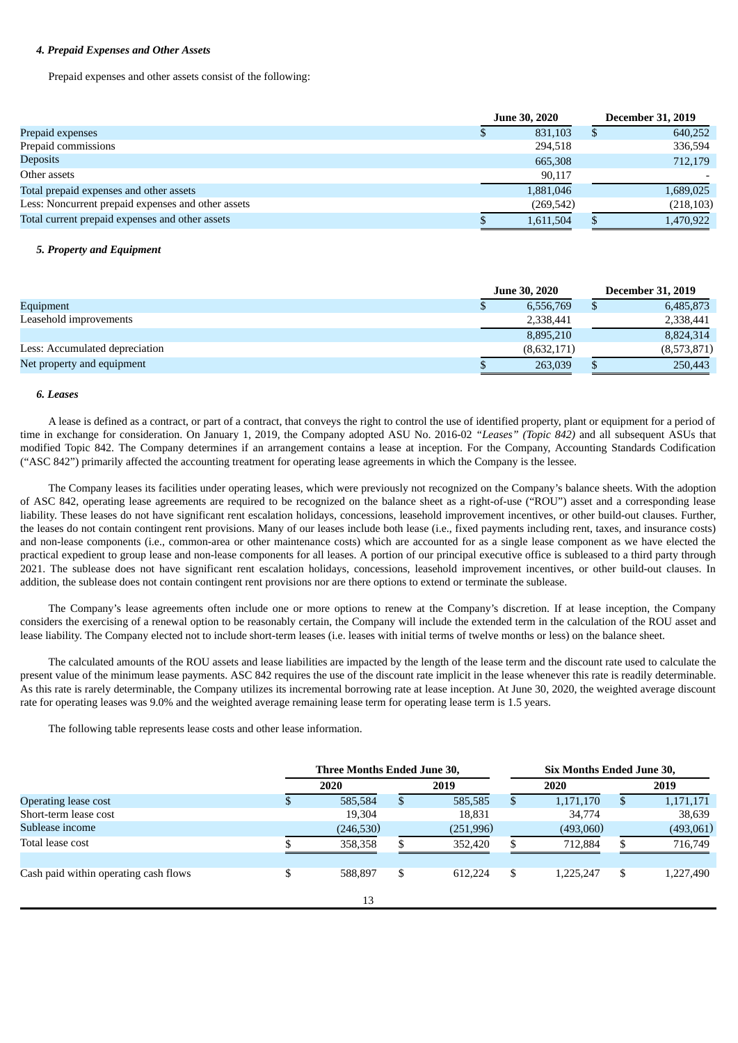# *4. Prepaid Expenses and Other Assets*

Prepaid expenses and other assets consist of the following:

|                                                    |  | <b>June 30, 2020</b> | <b>December 31, 2019</b> |
|----------------------------------------------------|--|----------------------|--------------------------|
| Prepaid expenses                                   |  | 831,103              | 640,252                  |
| Prepaid commissions                                |  | 294,518              | 336,594                  |
| <b>Deposits</b>                                    |  | 665,308              | 712,179                  |
| Other assets                                       |  | 90,117               |                          |
| Total prepaid expenses and other assets            |  | 1,881,046            | 1,689,025                |
| Less: Noncurrent prepaid expenses and other assets |  | (269, 542)           | (218, 103)               |
| Total current prepaid expenses and other assets    |  | 1,611,504            | 1,470,922                |

# *5. Property and Equipment*

|                                |  | <b>June 30, 2020</b> |             |  | <b>December 31, 2019</b> |  |           |
|--------------------------------|--|----------------------|-------------|--|--------------------------|--|-----------|
| Equipment                      |  |                      | 6,556,769   |  | 6,485,873                |  |           |
| Leasehold improvements         |  | 2,338,441            |             |  |                          |  | 2,338,441 |
|                                |  |                      | 8,895,210   |  | 8,824,314                |  |           |
| Less: Accumulated depreciation |  |                      | (8,632,171) |  | (8,573,871)              |  |           |
| Net property and equipment     |  |                      | 263,039     |  | 250,443                  |  |           |

#### *6. Leases*

A lease is defined as a contract, or part of a contract, that conveys the right to control the use of identified property, plant or equipment for a period of time in exchange for consideration. On January 1, 2019, the Company adopted ASU No. 2016-02 *"Leases" (Topic 842)* and all subsequent ASUs that modified Topic 842. The Company determines if an arrangement contains a lease at inception. For the Company, Accounting Standards Codification ("ASC 842") primarily affected the accounting treatment for operating lease agreements in which the Company is the lessee.

The Company leases its facilities under operating leases, which were previously not recognized on the Company's balance sheets. With the adoption of ASC 842, operating lease agreements are required to be recognized on the balance sheet as a right-of-use ("ROU") asset and a corresponding lease liability. These leases do not have significant rent escalation holidays, concessions, leasehold improvement incentives, or other build-out clauses. Further, the leases do not contain contingent rent provisions. Many of our leases include both lease (i.e., fixed payments including rent, taxes, and insurance costs) and non-lease components (i.e., common-area or other maintenance costs) which are accounted for as a single lease component as we have elected the practical expedient to group lease and non-lease components for all leases. A portion of our principal executive office is subleased to a third party through 2021. The sublease does not have significant rent escalation holidays, concessions, leasehold improvement incentives, or other build-out clauses. In addition, the sublease does not contain contingent rent provisions nor are there options to extend or terminate the sublease.

The Company's lease agreements often include one or more options to renew at the Company's discretion. If at lease inception, the Company considers the exercising of a renewal option to be reasonably certain, the Company will include the extended term in the calculation of the ROU asset and lease liability. The Company elected not to include short-term leases (i.e. leases with initial terms of twelve months or less) on the balance sheet.

The calculated amounts of the ROU assets and lease liabilities are impacted by the length of the lease term and the discount rate used to calculate the present value of the minimum lease payments. ASC 842 requires the use of the discount rate implicit in the lease whenever this rate is readily determinable. As this rate is rarely determinable, the Company utilizes its incremental borrowing rate at lease inception. At June 30, 2020, the weighted average discount rate for operating leases was 9.0% and the weighted average remaining lease term for operating lease term is 1.5 years.

The following table represents lease costs and other lease information.

|                                       | Three Months Ended June 30, |    |           |   | Six Months Ended June 30, |   |           |
|---------------------------------------|-----------------------------|----|-----------|---|---------------------------|---|-----------|
|                                       | 2020                        |    | 2019      |   | 2020                      |   | 2019      |
| Operating lease cost                  | 585,584                     |    | 585,585   |   | 1,171,170                 |   | 1,171,171 |
| Short-term lease cost                 | 19,304                      |    | 18,831    |   | 34,774                    |   | 38,639    |
| Sublease income                       | (246, 530)                  |    | (251,996) |   | (493,060)                 |   | (493,061) |
| Total lease cost                      | 358,358                     |    | 352,420   |   | 712.884                   |   | 716,749   |
|                                       |                             |    |           |   |                           |   |           |
| Cash paid within operating cash flows | 588,897                     | \$ | 612.224   | S | 1.225.247                 | S | 1,227,490 |
|                                       | 13                          |    |           |   |                           |   |           |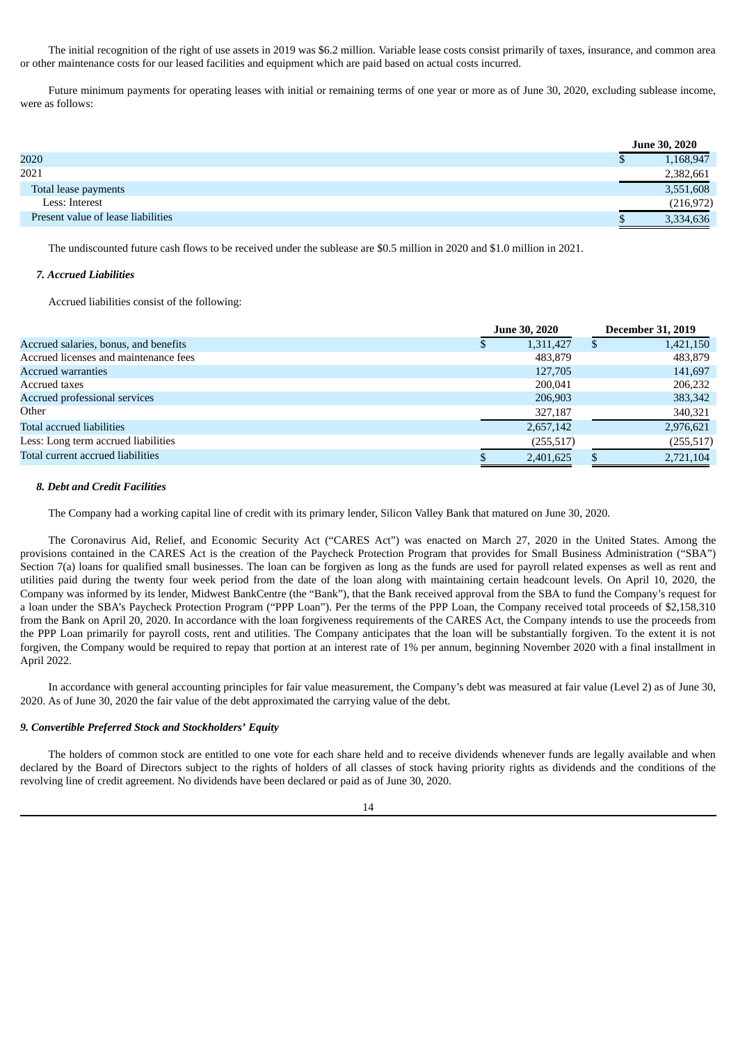The initial recognition of the right of use assets in 2019 was \$6.2 million. Variable lease costs consist primarily of taxes, insurance, and common area or other maintenance costs for our leased facilities and equipment which are paid based on actual costs incurred.

Future minimum payments for operating leases with initial or remaining terms of one year or more as of June 30, 2020, excluding sublease income, were as follows:

|                                    |    | <b>June 30, 2020</b> |
|------------------------------------|----|----------------------|
| 2020                               | ۰D | 1,168,947            |
| 2021                               |    | 2,382,661            |
| Total lease payments               |    | 3,551,608            |
| Less: Interest                     |    | (216,972)            |
| Present value of lease liabilities |    | 3,334,636            |

The undiscounted future cash flows to be received under the sublease are \$0.5 million in 2020 and \$1.0 million in 2021.

### *7. Accrued Liabilities*

Accrued liabilities consist of the following:

|                                       | <b>June 30, 2020</b> |            | <b>December 31, 2019</b> |
|---------------------------------------|----------------------|------------|--------------------------|
| Accrued salaries, bonus, and benefits |                      | 1,311,427  | 1,421,150                |
| Accrued licenses and maintenance fees |                      | 483,879    | 483,879                  |
| Accrued warranties                    |                      | 127,705    | 141,697                  |
| Accrued taxes                         |                      | 200.041    | 206,232                  |
| Accrued professional services         |                      | 206,903    | 383,342                  |
| Other                                 |                      | 327,187    | 340,321                  |
| Total accrued liabilities             |                      | 2,657,142  | 2,976,621                |
| Less: Long term accrued liabilities   |                      | (255, 517) | (255, 517)               |
| Total current accrued liabilities     |                      | 2,401,625  | 2.721.104                |

# *8. Debt and Credit Facilities*

The Company had a working capital line of credit with its primary lender, Silicon Valley Bank that matured on June 30, 2020.

The Coronavirus Aid, Relief, and Economic Security Act ("CARES Act") was enacted on March 27, 2020 in the United States. Among the provisions contained in the CARES Act is the creation of the Paycheck Protection Program that provides for Small Business Administration ("SBA") Section 7(a) loans for qualified small businesses. The loan can be forgiven as long as the funds are used for payroll related expenses as well as rent and utilities paid during the twenty four week period from the date of the loan along with maintaining certain headcount levels. On April 10, 2020, the Company was informed by its lender, Midwest BankCentre (the "Bank"), that the Bank received approval from the SBA to fund the Company's request for a loan under the SBA's Paycheck Protection Program ("PPP Loan"). Per the terms of the PPP Loan, the Company received total proceeds of \$2,158,310 from the Bank on April 20, 2020. In accordance with the loan forgiveness requirements of the CARES Act, the Company intends to use the proceeds from the PPP Loan primarily for payroll costs, rent and utilities. The Company anticipates that the loan will be substantially forgiven. To the extent it is not forgiven, the Company would be required to repay that portion at an interest rate of 1% per annum, beginning November 2020 with a final installment in April 2022.

In accordance with general accounting principles for fair value measurement, the Company's debt was measured at fair value (Level 2) as of June 30, 2020. As of June 30, 2020 the fair value of the debt approximated the carrying value of the debt.

# *9. Convertible Preferred Stock and Stockholders' Equity*

The holders of common stock are entitled to one vote for each share held and to receive dividends whenever funds are legally available and when declared by the Board of Directors subject to the rights of holders of all classes of stock having priority rights as dividends and the conditions of the revolving line of credit agreement. No dividends have been declared or paid as of June 30, 2020.

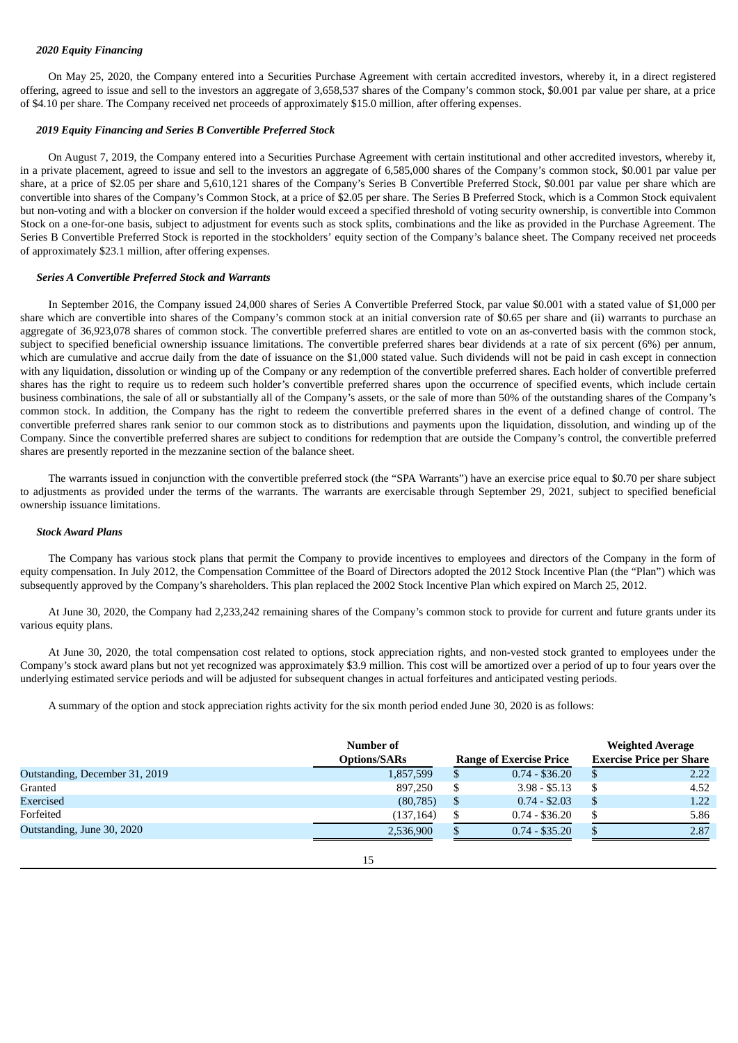# *2020 Equity Financing*

On May 25, 2020, the Company entered into a Securities Purchase Agreement with certain accredited investors, whereby it, in a direct registered offering, agreed to issue and sell to the investors an aggregate of 3,658,537 shares of the Company's common stock, \$0.001 par value per share, at a price of \$4.10 per share. The Company received net proceeds of approximately \$15.0 million, after offering expenses.

# *2019 Equity Financing and Series B Convertible Preferred Stock*

On August 7, 2019, the Company entered into a Securities Purchase Agreement with certain institutional and other accredited investors, whereby it, in a private placement, agreed to issue and sell to the investors an aggregate of 6,585,000 shares of the Company's common stock, \$0.001 par value per share, at a price of \$2.05 per share and 5,610,121 shares of the Company's Series B Convertible Preferred Stock, \$0.001 par value per share which are convertible into shares of the Company's Common Stock, at a price of \$2.05 per share. The Series B Preferred Stock, which is a Common Stock equivalent but non-voting and with a blocker on conversion if the holder would exceed a specified threshold of voting security ownership, is convertible into Common Stock on a one-for-one basis, subject to adjustment for events such as stock splits, combinations and the like as provided in the Purchase Agreement. The Series B Convertible Preferred Stock is reported in the stockholders' equity section of the Company's balance sheet. The Company received net proceeds of approximately \$23.1 million, after offering expenses.

### *Series A Convertible Preferred Stock and Warrants*

In September 2016, the Company issued 24,000 shares of Series A Convertible Preferred Stock, par value \$0.001 with a stated value of \$1,000 per share which are convertible into shares of the Company's common stock at an initial conversion rate of \$0.65 per share and (ii) warrants to purchase an aggregate of 36,923,078 shares of common stock. The convertible preferred shares are entitled to vote on an as-converted basis with the common stock, subject to specified beneficial ownership issuance limitations. The convertible preferred shares bear dividends at a rate of six percent (6%) per annum, which are cumulative and accrue daily from the date of issuance on the \$1,000 stated value. Such dividends will not be paid in cash except in connection with any liquidation, dissolution or winding up of the Company or any redemption of the convertible preferred shares. Each holder of convertible preferred shares has the right to require us to redeem such holder's convertible preferred shares upon the occurrence of specified events, which include certain business combinations, the sale of all or substantially all of the Company's assets, or the sale of more than 50% of the outstanding shares of the Company's common stock. In addition, the Company has the right to redeem the convertible preferred shares in the event of a defined change of control. The convertible preferred shares rank senior to our common stock as to distributions and payments upon the liquidation, dissolution, and winding up of the Company. Since the convertible preferred shares are subject to conditions for redemption that are outside the Company's control, the convertible preferred shares are presently reported in the mezzanine section of the balance sheet.

The warrants issued in conjunction with the convertible preferred stock (the "SPA Warrants") have an exercise price equal to \$0.70 per share subject to adjustments as provided under the terms of the warrants. The warrants are exercisable through September 29, 2021, subject to specified beneficial ownership issuance limitations.

#### *Stock Award Plans*

The Company has various stock plans that permit the Company to provide incentives to employees and directors of the Company in the form of equity compensation. In July 2012, the Compensation Committee of the Board of Directors adopted the 2012 Stock Incentive Plan (the "Plan") which was subsequently approved by the Company's shareholders. This plan replaced the 2002 Stock Incentive Plan which expired on March 25, 2012.

At June 30, 2020, the Company had 2,233,242 remaining shares of the Company's common stock to provide for current and future grants under its various equity plans.

At June 30, 2020, the total compensation cost related to options, stock appreciation rights, and non-vested stock granted to employees under the Company's stock award plans but not yet recognized was approximately \$3.9 million. This cost will be amortized over a period of up to four years over the underlying estimated service periods and will be adjusted for subsequent changes in actual forfeitures and anticipated vesting periods.

A summary of the option and stock appreciation rights activity for the six month period ended June 30, 2020 is as follows:

|                                | Number of<br><b>Options/SARs</b> |  | <b>Range of Exercise Price</b> |     | <b>Weighted Average</b><br><b>Exercise Price per Share</b> |
|--------------------------------|----------------------------------|--|--------------------------------|-----|------------------------------------------------------------|
| Outstanding, December 31, 2019 | 1,857,599                        |  | $0.74 - $36.20$                |     | 2.22                                                       |
| Granted                        | 897.250                          |  | $3.98 - $5.13$                 |     | 4.52                                                       |
| Exercised                      | (80, 785)                        |  | $0.74 - $2.03$                 | \$. | 1.22                                                       |
| Forfeited                      | (137, 164)                       |  | $0.74 - $36.20$                |     | 5.86                                                       |
| Outstanding, June 30, 2020     | 2,536,900                        |  | $0.74 - $35.20$                | S.  | 2.87                                                       |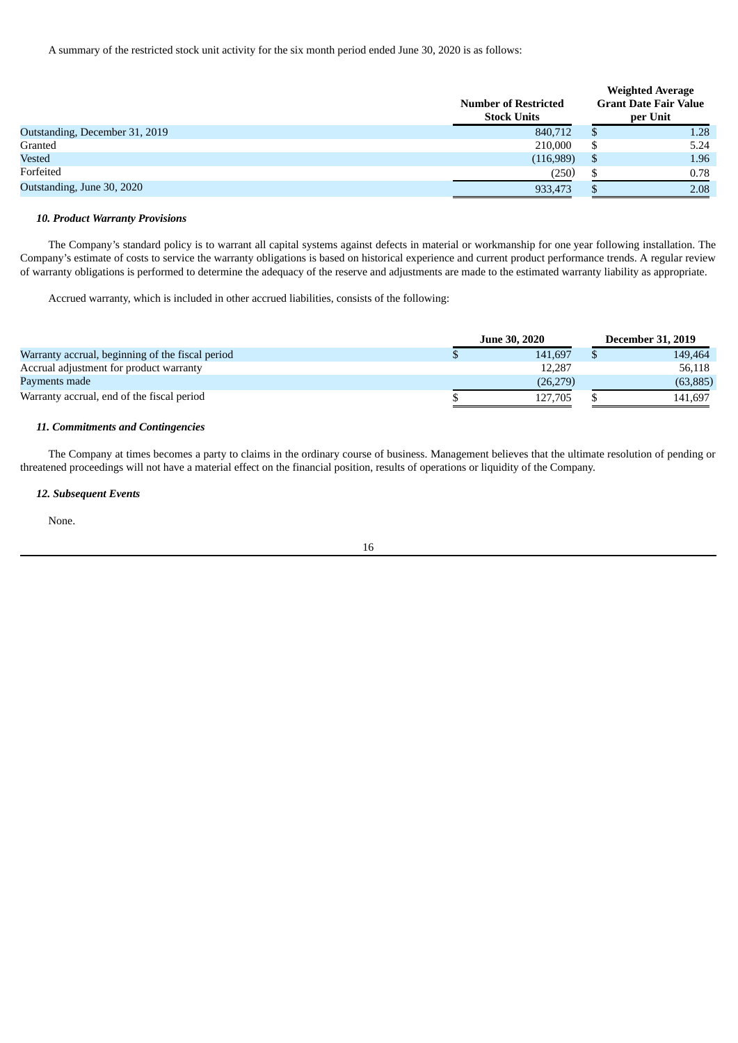A summary of the restricted stock unit activity for the six month period ended June 30, 2020 is as follows:

|                                | <b>Number of Restricted</b><br><b>Stock Units</b> |   | <b>Weighted Average</b><br><b>Grant Date Fair Value</b><br>per Unit |
|--------------------------------|---------------------------------------------------|---|---------------------------------------------------------------------|
| Outstanding, December 31, 2019 | 840,712                                           |   | 1.28                                                                |
| Granted                        | 210,000                                           | S | 5.24                                                                |
| Vested                         | (116,989)                                         |   | 1.96                                                                |
| Forfeited                      | (250)                                             |   | 0.78                                                                |
| Outstanding, June 30, 2020     | 933,473                                           |   | 2.08                                                                |

# *10. Product Warranty Provisions*

The Company's standard policy is to warrant all capital systems against defects in material or workmanship for one year following installation. The Company's estimate of costs to service the warranty obligations is based on historical experience and current product performance trends. A regular review of warranty obligations is performed to determine the adequacy of the reserve and adjustments are made to the estimated warranty liability as appropriate.

Accrued warranty, which is included in other accrued liabilities, consists of the following:

|                                                  | <b>June 30, 2020</b> |           |  | <b>December 31, 2019</b> |
|--------------------------------------------------|----------------------|-----------|--|--------------------------|
| Warranty accrual, beginning of the fiscal period |                      | 141.697   |  | 149,464                  |
| Accrual adjustment for product warranty          |                      | 12,287    |  | 56,118                   |
| Payments made                                    |                      | (26, 279) |  | (63, 885)                |
| Warranty accrual, end of the fiscal period       |                      | 127.705   |  | 141.697                  |

# *11. Commitments and Contingencies*

The Company at times becomes a party to claims in the ordinary course of business. Management believes that the ultimate resolution of pending or threatened proceedings will not have a material effect on the financial position, results of operations or liquidity of the Company.

# *12. Subsequent Events*

None.

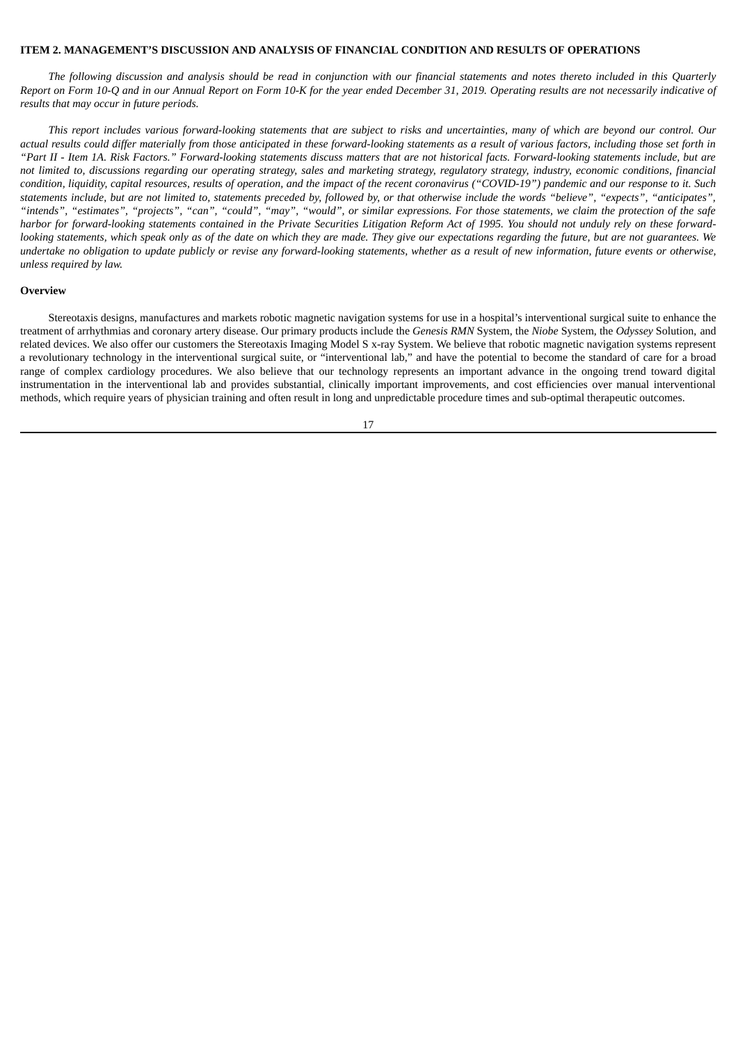# <span id="page-16-0"></span>**ITEM 2. MANAGEMENT'S DISCUSSION AND ANALYSIS OF FINANCIAL CONDITION AND RESULTS OF OPERATIONS**

The following discussion and analysis should be read in conjunction with our financial statements and notes thereto included in this Quarterly Report on Form 10-O and in our Annual Report on Form 10-K for the year ended December 31, 2019. Operating results are not necessarily indicative of *results that may occur in future periods.*

This report includes various forward-looking statements that are subject to risks and uncertainties, many of which are beyond our control. Our actual results could differ materially from those anticipated in these forward-looking statements as a result of various factors, including those set forth in "Part II - Item 1A. Risk Factors." Forward-looking statements discuss matters that are not historical facts. Forward-looking statements include, but are not limited to, discussions regarding our operating strategy, sales and marketing strategy, regulatory strategy, industry, economic conditions, financial condition, liquidity, capital resources, results of operation, and the impact of the recent coronavirus ("COVID-19") pandemic and our response to it. Such statements include, but are not limited to, statements preceded by, followed by, or that otherwise include the words "believe", "expects", "anticipates", "intends", "estimates", "projects", "can", "could", "may", "would", or similar expressions. For those statements, we claim the protection of the safe harbor for forward-looking statements contained in the Private Securities Litigation Reform Act of 1995. You should not unduly rely on these forwardlooking statements, which speak only as of the date on which they are made. They give our expectations regarding the future, but are not guarantees. We undertake no obligation to update publicly or revise any forward-looking statements, whether as a result of new information, future events or otherwise, *unless required by law.*

# **Overview**

Stereotaxis designs, manufactures and markets robotic magnetic navigation systems for use in a hospital's interventional surgical suite to enhance the treatment of arrhythmias and coronary artery disease. Our primary products include the *Genesis RMN* System, the *Niobe* System, the *Odyssey* Solution, and related devices. We also offer our customers the Stereotaxis Imaging Model S x-ray System. We believe that robotic magnetic navigation systems represent a revolutionary technology in the interventional surgical suite, or "interventional lab," and have the potential to become the standard of care for a broad range of complex cardiology procedures. We also believe that our technology represents an important advance in the ongoing trend toward digital instrumentation in the interventional lab and provides substantial, clinically important improvements, and cost efficiencies over manual interventional methods, which require years of physician training and often result in long and unpredictable procedure times and sub-optimal therapeutic outcomes.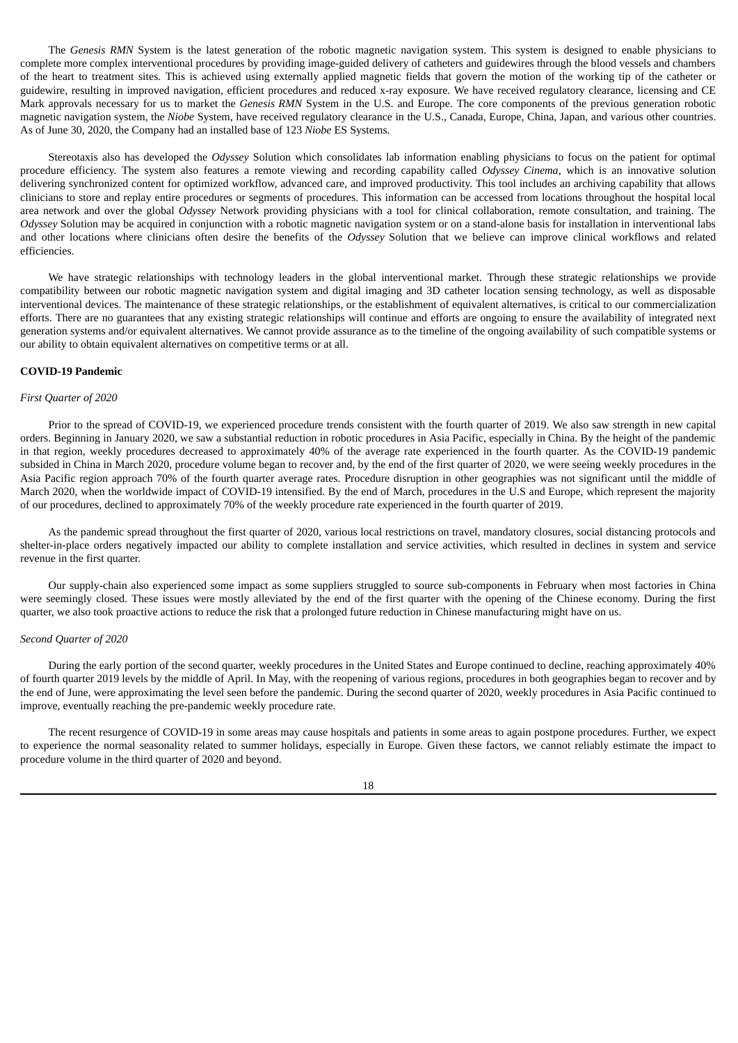The *Genesis RMN* System is the latest generation of the robotic magnetic navigation system. This system is designed to enable physicians to complete more complex interventional procedures by providing image-guided delivery of catheters and guidewires through the blood vessels and chambers of the heart to treatment sites. This is achieved using externally applied magnetic fields that govern the motion of the working tip of the catheter or guidewire, resulting in improved navigation, efficient procedures and reduced x-ray exposure. We have received regulatory clearance, licensing and CE Mark approvals necessary for us to market the *Genesis RMN* System in the U.S. and Europe. The core components of the previous generation robotic magnetic navigation system, the *Niobe* System, have received regulatory clearance in the U.S., Canada, Europe, China, Japan, and various other countries. As of June 30, 2020, the Company had an installed base of 123 *Niobe* ES Systems.

Stereotaxis also has developed the *Odyssey* Solution which consolidates lab information enabling physicians to focus on the patient for optimal procedure efficiency. The system also features a remote viewing and recording capability called *Odyssey Cinema*, which is an innovative solution delivering synchronized content for optimized workflow, advanced care, and improved productivity. This tool includes an archiving capability that allows clinicians to store and replay entire procedures or segments of procedures. This information can be accessed from locations throughout the hospital local area network and over the global *Odyssey* Network providing physicians with a tool for clinical collaboration, remote consultation, and training. The *Odyssey* Solution may be acquired in conjunction with a robotic magnetic navigation system or on a stand-alone basis for installation in interventional labs and other locations where clinicians often desire the benefits of the *Odyssey* Solution that we believe can improve clinical workflows and related efficiencies.

We have strategic relationships with technology leaders in the global interventional market. Through these strategic relationships we provide compatibility between our robotic magnetic navigation system and digital imaging and 3D catheter location sensing technology, as well as disposable interventional devices. The maintenance of these strategic relationships, or the establishment of equivalent alternatives, is critical to our commercialization efforts. There are no guarantees that any existing strategic relationships will continue and efforts are ongoing to ensure the availability of integrated next generation systems and/or equivalent alternatives. We cannot provide assurance as to the timeline of the ongoing availability of such compatible systems or our ability to obtain equivalent alternatives on competitive terms or at all.

# **COVID-19 Pandemic**

#### *First Quarter of 2020*

Prior to the spread of COVID-19, we experienced procedure trends consistent with the fourth quarter of 2019. We also saw strength in new capital orders. Beginning in January 2020, we saw a substantial reduction in robotic procedures in Asia Pacific, especially in China. By the height of the pandemic in that region, weekly procedures decreased to approximately 40% of the average rate experienced in the fourth quarter. As the COVID-19 pandemic subsided in China in March 2020, procedure volume began to recover and, by the end of the first quarter of 2020, we were seeing weekly procedures in the Asia Pacific region approach 70% of the fourth quarter average rates. Procedure disruption in other geographies was not significant until the middle of March 2020, when the worldwide impact of COVID-19 intensified. By the end of March, procedures in the U.S and Europe, which represent the majority of our procedures, declined to approximately 70% of the weekly procedure rate experienced in the fourth quarter of 2019.

As the pandemic spread throughout the first quarter of 2020, various local restrictions on travel, mandatory closures, social distancing protocols and shelter-in-place orders negatively impacted our ability to complete installation and service activities, which resulted in declines in system and service revenue in the first quarter.

Our supply-chain also experienced some impact as some suppliers struggled to source sub-components in February when most factories in China were seemingly closed. These issues were mostly alleviated by the end of the first quarter with the opening of the Chinese economy. During the first quarter, we also took proactive actions to reduce the risk that a prolonged future reduction in Chinese manufacturing might have on us.

#### *Second Quarter of 2020*

During the early portion of the second quarter, weekly procedures in the United States and Europe continued to decline, reaching approximately 40% of fourth quarter 2019 levels by the middle of April. In May, with the reopening of various regions, procedures in both geographies began to recover and by the end of June, were approximating the level seen before the pandemic. During the second quarter of 2020, weekly procedures in Asia Pacific continued to improve, eventually reaching the pre-pandemic weekly procedure rate.

The recent resurgence of COVID-19 in some areas may cause hospitals and patients in some areas to again postpone procedures. Further, we expect to experience the normal seasonality related to summer holidays, especially in Europe. Given these factors, we cannot reliably estimate the impact to procedure volume in the third quarter of 2020 and beyond.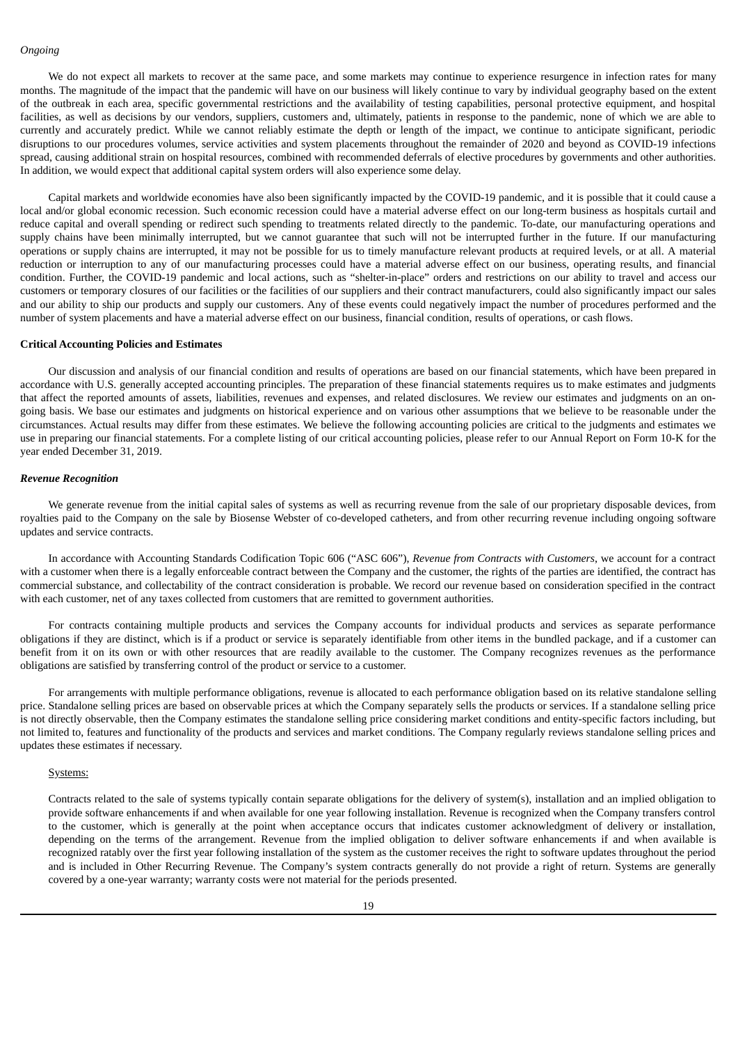We do not expect all markets to recover at the same pace, and some markets may continue to experience resurgence in infection rates for many months. The magnitude of the impact that the pandemic will have on our business will likely continue to vary by individual geography based on the extent of the outbreak in each area, specific governmental restrictions and the availability of testing capabilities, personal protective equipment, and hospital facilities, as well as decisions by our vendors, suppliers, customers and, ultimately, patients in response to the pandemic, none of which we are able to currently and accurately predict. While we cannot reliably estimate the depth or length of the impact, we continue to anticipate significant, periodic disruptions to our procedures volumes, service activities and system placements throughout the remainder of 2020 and beyond as COVID-19 infections spread, causing additional strain on hospital resources, combined with recommended deferrals of elective procedures by governments and other authorities. In addition, we would expect that additional capital system orders will also experience some delay.

Capital markets and worldwide economies have also been significantly impacted by the COVID-19 pandemic, and it is possible that it could cause a local and/or global economic recession. Such economic recession could have a material adverse effect on our long-term business as hospitals curtail and reduce capital and overall spending or redirect such spending to treatments related directly to the pandemic. To-date, our manufacturing operations and supply chains have been minimally interrupted, but we cannot guarantee that such will not be interrupted further in the future. If our manufacturing operations or supply chains are interrupted, it may not be possible for us to timely manufacture relevant products at required levels, or at all. A material reduction or interruption to any of our manufacturing processes could have a material adverse effect on our business, operating results, and financial condition. Further, the COVID-19 pandemic and local actions, such as "shelter-in-place" orders and restrictions on our ability to travel and access our customers or temporary closures of our facilities or the facilities of our suppliers and their contract manufacturers, could also significantly impact our sales and our ability to ship our products and supply our customers. Any of these events could negatively impact the number of procedures performed and the number of system placements and have a material adverse effect on our business, financial condition, results of operations, or cash flows.

# **Critical Accounting Policies and Estimates**

Our discussion and analysis of our financial condition and results of operations are based on our financial statements, which have been prepared in accordance with U.S. generally accepted accounting principles. The preparation of these financial statements requires us to make estimates and judgments that affect the reported amounts of assets, liabilities, revenues and expenses, and related disclosures. We review our estimates and judgments on an ongoing basis. We base our estimates and judgments on historical experience and on various other assumptions that we believe to be reasonable under the circumstances. Actual results may differ from these estimates. We believe the following accounting policies are critical to the judgments and estimates we use in preparing our financial statements. For a complete listing of our critical accounting policies, please refer to our Annual Report on Form 10-K for the year ended December 31, 2019.

#### *Revenue Recognition*

We generate revenue from the initial capital sales of systems as well as recurring revenue from the sale of our proprietary disposable devices, from royalties paid to the Company on the sale by Biosense Webster of co-developed catheters, and from other recurring revenue including ongoing software updates and service contracts.

In accordance with Accounting Standards Codification Topic 606 ("ASC 606"), *Revenue from Contracts with Customers*, we account for a contract with a customer when there is a legally enforceable contract between the Company and the customer, the rights of the parties are identified, the contract has commercial substance, and collectability of the contract consideration is probable. We record our revenue based on consideration specified in the contract with each customer, net of any taxes collected from customers that are remitted to government authorities.

For contracts containing multiple products and services the Company accounts for individual products and services as separate performance obligations if they are distinct, which is if a product or service is separately identifiable from other items in the bundled package, and if a customer can benefit from it on its own or with other resources that are readily available to the customer. The Company recognizes revenues as the performance obligations are satisfied by transferring control of the product or service to a customer.

For arrangements with multiple performance obligations, revenue is allocated to each performance obligation based on its relative standalone selling price. Standalone selling prices are based on observable prices at which the Company separately sells the products or services. If a standalone selling price is not directly observable, then the Company estimates the standalone selling price considering market conditions and entity-specific factors including, but not limited to, features and functionality of the products and services and market conditions. The Company regularly reviews standalone selling prices and updates these estimates if necessary.

#### Systems:

Contracts related to the sale of systems typically contain separate obligations for the delivery of system(s), installation and an implied obligation to provide software enhancements if and when available for one year following installation. Revenue is recognized when the Company transfers control to the customer, which is generally at the point when acceptance occurs that indicates customer acknowledgment of delivery or installation, depending on the terms of the arrangement. Revenue from the implied obligation to deliver software enhancements if and when available is recognized ratably over the first year following installation of the system as the customer receives the right to software updates throughout the period and is included in Other Recurring Revenue. The Company's system contracts generally do not provide a right of return. Systems are generally covered by a one-year warranty; warranty costs were not material for the periods presented.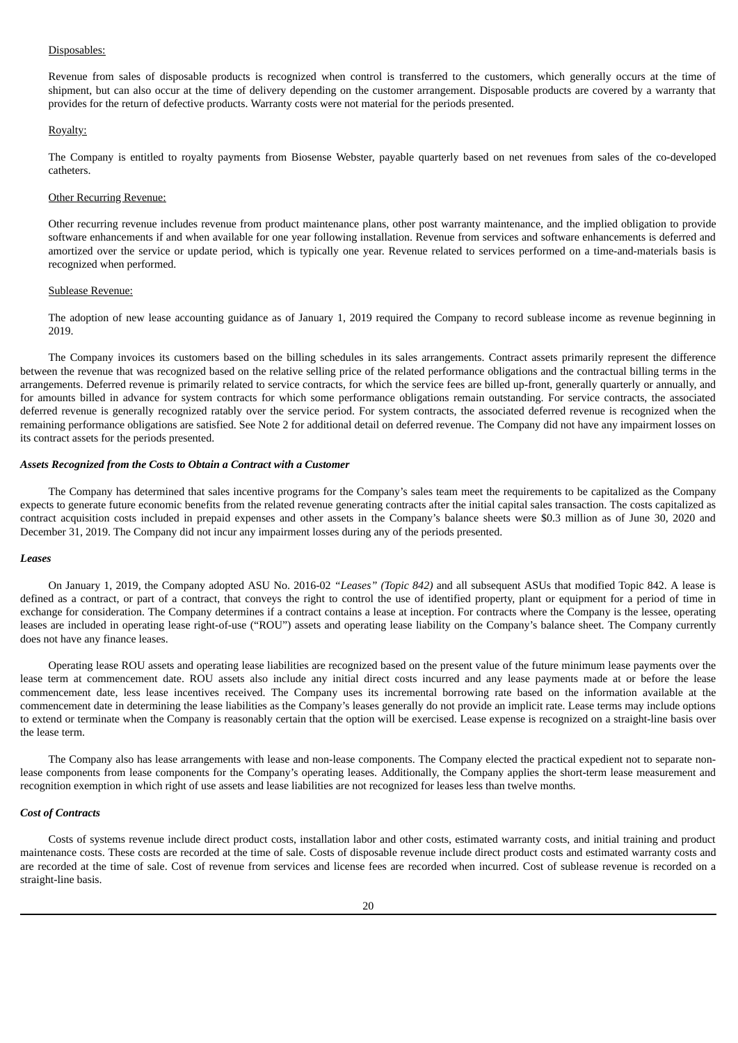# Disposables:

Revenue from sales of disposable products is recognized when control is transferred to the customers, which generally occurs at the time of shipment, but can also occur at the time of delivery depending on the customer arrangement. Disposable products are covered by a warranty that provides for the return of defective products. Warranty costs were not material for the periods presented.

#### Royalty:

The Company is entitled to royalty payments from Biosense Webster, payable quarterly based on net revenues from sales of the co-developed catheters.

#### Other Recurring Revenue:

Other recurring revenue includes revenue from product maintenance plans, other post warranty maintenance, and the implied obligation to provide software enhancements if and when available for one year following installation. Revenue from services and software enhancements is deferred and amortized over the service or update period, which is typically one year. Revenue related to services performed on a time-and-materials basis is recognized when performed.

#### Sublease Revenue:

The adoption of new lease accounting guidance as of January 1, 2019 required the Company to record sublease income as revenue beginning in 2019.

The Company invoices its customers based on the billing schedules in its sales arrangements. Contract assets primarily represent the difference between the revenue that was recognized based on the relative selling price of the related performance obligations and the contractual billing terms in the arrangements. Deferred revenue is primarily related to service contracts, for which the service fees are billed up-front, generally quarterly or annually, and for amounts billed in advance for system contracts for which some performance obligations remain outstanding. For service contracts, the associated deferred revenue is generally recognized ratably over the service period. For system contracts, the associated deferred revenue is recognized when the remaining performance obligations are satisfied. See Note 2 for additional detail on deferred revenue. The Company did not have any impairment losses on its contract assets for the periods presented.

# *Assets Recognized from the Costs to Obtain a Contract with a Customer*

The Company has determined that sales incentive programs for the Company's sales team meet the requirements to be capitalized as the Company expects to generate future economic benefits from the related revenue generating contracts after the initial capital sales transaction. The costs capitalized as contract acquisition costs included in prepaid expenses and other assets in the Company's balance sheets were \$0.3 million as of June 30, 2020 and December 31, 2019. The Company did not incur any impairment losses during any of the periods presented.

#### *Leases*

On January 1, 2019, the Company adopted ASU No. 2016-02 *"Leases" (Topic 842)* and all subsequent ASUs that modified Topic 842. A lease is defined as a contract, or part of a contract, that conveys the right to control the use of identified property, plant or equipment for a period of time in exchange for consideration. The Company determines if a contract contains a lease at inception. For contracts where the Company is the lessee, operating leases are included in operating lease right-of-use ("ROU") assets and operating lease liability on the Company's balance sheet. The Company currently does not have any finance leases.

Operating lease ROU assets and operating lease liabilities are recognized based on the present value of the future minimum lease payments over the lease term at commencement date. ROU assets also include any initial direct costs incurred and any lease payments made at or before the lease commencement date, less lease incentives received. The Company uses its incremental borrowing rate based on the information available at the commencement date in determining the lease liabilities as the Company's leases generally do not provide an implicit rate. Lease terms may include options to extend or terminate when the Company is reasonably certain that the option will be exercised. Lease expense is recognized on a straight-line basis over the lease term.

The Company also has lease arrangements with lease and non-lease components. The Company elected the practical expedient not to separate nonlease components from lease components for the Company's operating leases. Additionally, the Company applies the short-term lease measurement and recognition exemption in which right of use assets and lease liabilities are not recognized for leases less than twelve months.

#### *Cost of Contracts*

Costs of systems revenue include direct product costs, installation labor and other costs, estimated warranty costs, and initial training and product maintenance costs. These costs are recorded at the time of sale. Costs of disposable revenue include direct product costs and estimated warranty costs and are recorded at the time of sale. Cost of revenue from services and license fees are recorded when incurred. Cost of sublease revenue is recorded on a straight-line basis.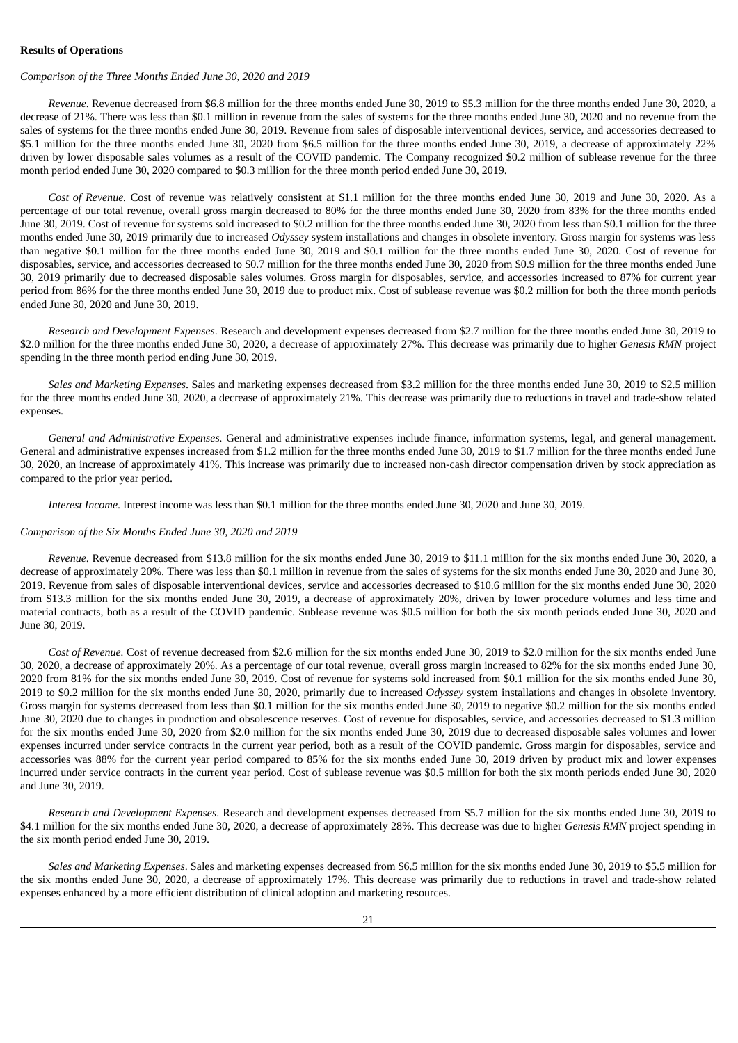# **Results of Operations**

# *Comparison of the Three Months Ended June 30, 2020 and 2019*

*Revenue*. Revenue decreased from \$6.8 million for the three months ended June 30, 2019 to \$5.3 million for the three months ended June 30, 2020, a decrease of 21%. There was less than \$0.1 million in revenue from the sales of systems for the three months ended June 30, 2020 and no revenue from the sales of systems for the three months ended June 30, 2019. Revenue from sales of disposable interventional devices, service, and accessories decreased to \$5.1 million for the three months ended June 30, 2020 from \$6.5 million for the three months ended June 30, 2019, a decrease of approximately 22% driven by lower disposable sales volumes as a result of the COVID pandemic. The Company recognized \$0.2 million of sublease revenue for the three month period ended June 30, 2020 compared to \$0.3 million for the three month period ended June 30, 2019.

*Cost of Revenue.* Cost of revenue was relatively consistent at \$1.1 million for the three months ended June 30, 2019 and June 30, 2020. As a percentage of our total revenue, overall gross margin decreased to 80% for the three months ended June 30, 2020 from 83% for the three months ended June 30, 2019. Cost of revenue for systems sold increased to \$0.2 million for the three months ended June 30, 2020 from less than \$0.1 million for the three months ended June 30, 2019 primarily due to increased *Odyssey* system installations and changes in obsolete inventory. Gross margin for systems was less than negative \$0.1 million for the three months ended June 30, 2019 and \$0.1 million for the three months ended June 30, 2020. Cost of revenue for disposables, service, and accessories decreased to \$0.7 million for the three months ended June 30, 2020 from \$0.9 million for the three months ended June 30, 2019 primarily due to decreased disposable sales volumes. Gross margin for disposables, service, and accessories increased to 87% for current year period from 86% for the three months ended June 30, 2019 due to product mix. Cost of sublease revenue was \$0.2 million for both the three month periods ended June 30, 2020 and June 30, 2019.

*Research and Development Expenses*. Research and development expenses decreased from \$2.7 million for the three months ended June 30, 2019 to \$2.0 million for the three months ended June 30, 2020, a decrease of approximately 27%. This decrease was primarily due to higher *Genesis RMN* project spending in the three month period ending June 30, 2019.

*Sales and Marketing Expenses*. Sales and marketing expenses decreased from \$3.2 million for the three months ended June 30, 2019 to \$2.5 million for the three months ended June 30, 2020, a decrease of approximately 21%. This decrease was primarily due to reductions in travel and trade-show related expenses.

*General and Administrative Expenses.* General and administrative expenses include finance, information systems, legal, and general management. General and administrative expenses increased from \$1.2 million for the three months ended June 30, 2019 to \$1.7 million for the three months ended June 30, 2020, an increase of approximately 41%. This increase was primarily due to increased non-cash director compensation driven by stock appreciation as compared to the prior year period.

*Interest Income*. Interest income was less than \$0.1 million for the three months ended June 30, 2020 and June 30, 2019.

#### *Comparison of the Six Months Ended June 30, 2020 and 2019*

*Revenue*. Revenue decreased from \$13.8 million for the six months ended June 30, 2019 to \$11.1 million for the six months ended June 30, 2020, a decrease of approximately 20%. There was less than \$0.1 million in revenue from the sales of systems for the six months ended June 30, 2020 and June 30, 2019. Revenue from sales of disposable interventional devices, service and accessories decreased to \$10.6 million for the six months ended June 30, 2020 from \$13.3 million for the six months ended June 30, 2019, a decrease of approximately 20%, driven by lower procedure volumes and less time and material contracts, both as a result of the COVID pandemic. Sublease revenue was \$0.5 million for both the six month periods ended June 30, 2020 and June 30, 2019.

*Cost of Revenue.* Cost of revenue decreased from \$2.6 million for the six months ended June 30, 2019 to \$2.0 million for the six months ended June 30, 2020, a decrease of approximately 20%. As a percentage of our total revenue, overall gross margin increased to 82% for the six months ended June 30, 2020 from 81% for the six months ended June 30, 2019. Cost of revenue for systems sold increased from \$0.1 million for the six months ended June 30, 2019 to \$0.2 million for the six months ended June 30, 2020, primarily due to increased *Odyssey* system installations and changes in obsolete inventory. Gross margin for systems decreased from less than \$0.1 million for the six months ended June 30, 2019 to negative \$0.2 million for the six months ended June 30, 2020 due to changes in production and obsolescence reserves. Cost of revenue for disposables, service, and accessories decreased to \$1.3 million for the six months ended June 30, 2020 from \$2.0 million for the six months ended June 30, 2019 due to decreased disposable sales volumes and lower expenses incurred under service contracts in the current year period, both as a result of the COVID pandemic. Gross margin for disposables, service and accessories was 88% for the current year period compared to 85% for the six months ended June 30, 2019 driven by product mix and lower expenses incurred under service contracts in the current year period. Cost of sublease revenue was \$0.5 million for both the six month periods ended June 30, 2020 and June 30, 2019.

*Research and Development Expenses*. Research and development expenses decreased from \$5.7 million for the six months ended June 30, 2019 to \$4.1 million for the six months ended June 30, 2020, a decrease of approximately 28%. This decrease was due to higher *Genesis RMN* project spending in the six month period ended June 30, 2019.

*Sales and Marketing Expenses*. Sales and marketing expenses decreased from \$6.5 million for the six months ended June 30, 2019 to \$5.5 million for the six months ended June 30, 2020, a decrease of approximately 17%. This decrease was primarily due to reductions in travel and trade-show related expenses enhanced by a more efficient distribution of clinical adoption and marketing resources.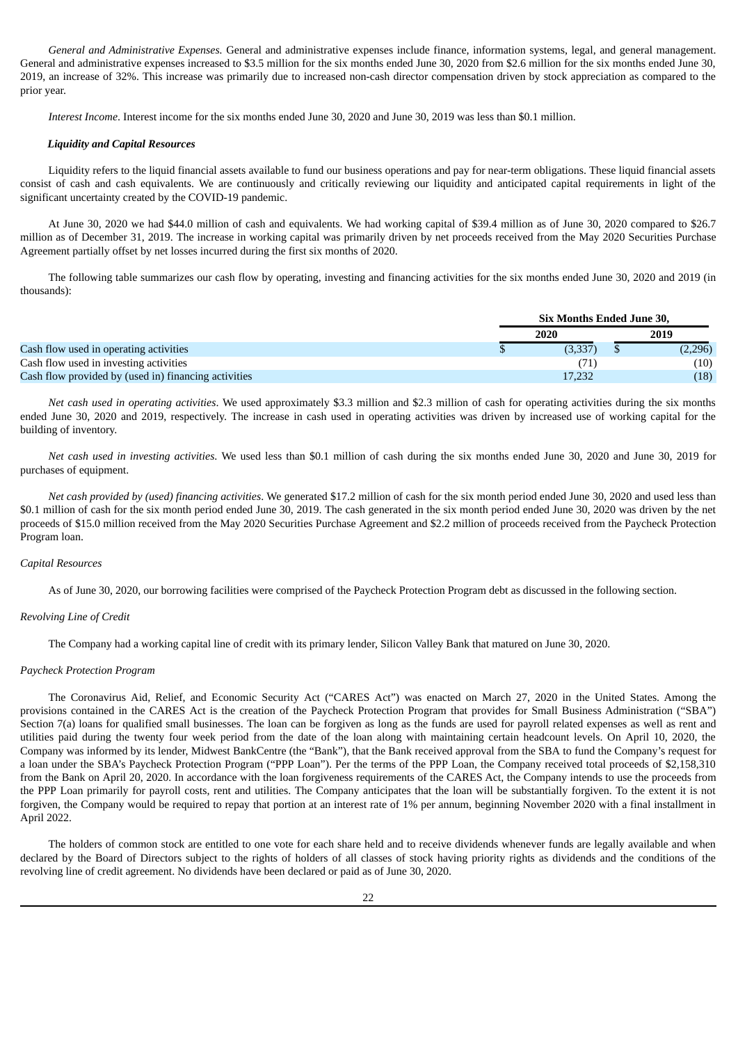*General and Administrative Expenses.* General and administrative expenses include finance, information systems, legal, and general management. General and administrative expenses increased to \$3.5 million for the six months ended June 30, 2020 from \$2.6 million for the six months ended June 30, 2019, an increase of 32%. This increase was primarily due to increased non-cash director compensation driven by stock appreciation as compared to the prior year.

*Interest Income*. Interest income for the six months ended June 30, 2020 and June 30, 2019 was less than \$0.1 million.

### *Liquidity and Capital Resources*

Liquidity refers to the liquid financial assets available to fund our business operations and pay for near-term obligations. These liquid financial assets consist of cash and cash equivalents. We are continuously and critically reviewing our liquidity and anticipated capital requirements in light of the significant uncertainty created by the COVID-19 pandemic.

At June 30, 2020 we had \$44.0 million of cash and equivalents. We had working capital of \$39.4 million as of June 30, 2020 compared to \$26.7 million as of December 31, 2019. The increase in working capital was primarily driven by net proceeds received from the May 2020 Securities Purchase Agreement partially offset by net losses incurred during the first six months of 2020.

The following table summarizes our cash flow by operating, investing and financing activities for the six months ended June 30, 2020 and 2019 (in thousands):

|                                                      | Six Months Ended June 30. |  |         |  |
|------------------------------------------------------|---------------------------|--|---------|--|
|                                                      | 2020                      |  | 2019    |  |
| Cash flow used in operating activities               | (3,337)                   |  | (2,296) |  |
| Cash flow used in investing activities               |                           |  | (10)    |  |
| Cash flow provided by (used in) financing activities | 17.232                    |  | (18)    |  |

*Net cash used in operating activities*. We used approximately \$3.3 million and \$2.3 million of cash for operating activities during the six months ended June 30, 2020 and 2019, respectively. The increase in cash used in operating activities was driven by increased use of working capital for the building of inventory.

*Net cash used in investing activities*. We used less than \$0.1 million of cash during the six months ended June 30, 2020 and June 30, 2019 for purchases of equipment.

*Net cash provided by (used) financing activities*. We generated \$17.2 million of cash for the six month period ended June 30, 2020 and used less than \$0.1 million of cash for the six month period ended June 30, 2019. The cash generated in the six month period ended June 30, 2020 was driven by the net proceeds of \$15.0 million received from the May 2020 Securities Purchase Agreement and \$2.2 million of proceeds received from the Paycheck Protection Program loan.

# *Capital Resources*

As of June 30, 2020, our borrowing facilities were comprised of the Paycheck Protection Program debt as discussed in the following section.

### *Revolving Line of Credit*

The Company had a working capital line of credit with its primary lender, Silicon Valley Bank that matured on June 30, 2020.

### *Paycheck Protection Program*

The Coronavirus Aid, Relief, and Economic Security Act ("CARES Act") was enacted on March 27, 2020 in the United States. Among the provisions contained in the CARES Act is the creation of the Paycheck Protection Program that provides for Small Business Administration ("SBA") Section 7(a) loans for qualified small businesses. The loan can be forgiven as long as the funds are used for payroll related expenses as well as rent and utilities paid during the twenty four week period from the date of the loan along with maintaining certain headcount levels. On April 10, 2020, the Company was informed by its lender, Midwest BankCentre (the "Bank"), that the Bank received approval from the SBA to fund the Company's request for a loan under the SBA's Paycheck Protection Program ("PPP Loan"). Per the terms of the PPP Loan, the Company received total proceeds of \$2,158,310 from the Bank on April 20, 2020. In accordance with the loan forgiveness requirements of the CARES Act, the Company intends to use the proceeds from the PPP Loan primarily for payroll costs, rent and utilities. The Company anticipates that the loan will be substantially forgiven. To the extent it is not forgiven, the Company would be required to repay that portion at an interest rate of 1% per annum, beginning November 2020 with a final installment in April 2022.

The holders of common stock are entitled to one vote for each share held and to receive dividends whenever funds are legally available and when declared by the Board of Directors subject to the rights of holders of all classes of stock having priority rights as dividends and the conditions of the revolving line of credit agreement. No dividends have been declared or paid as of June 30, 2020.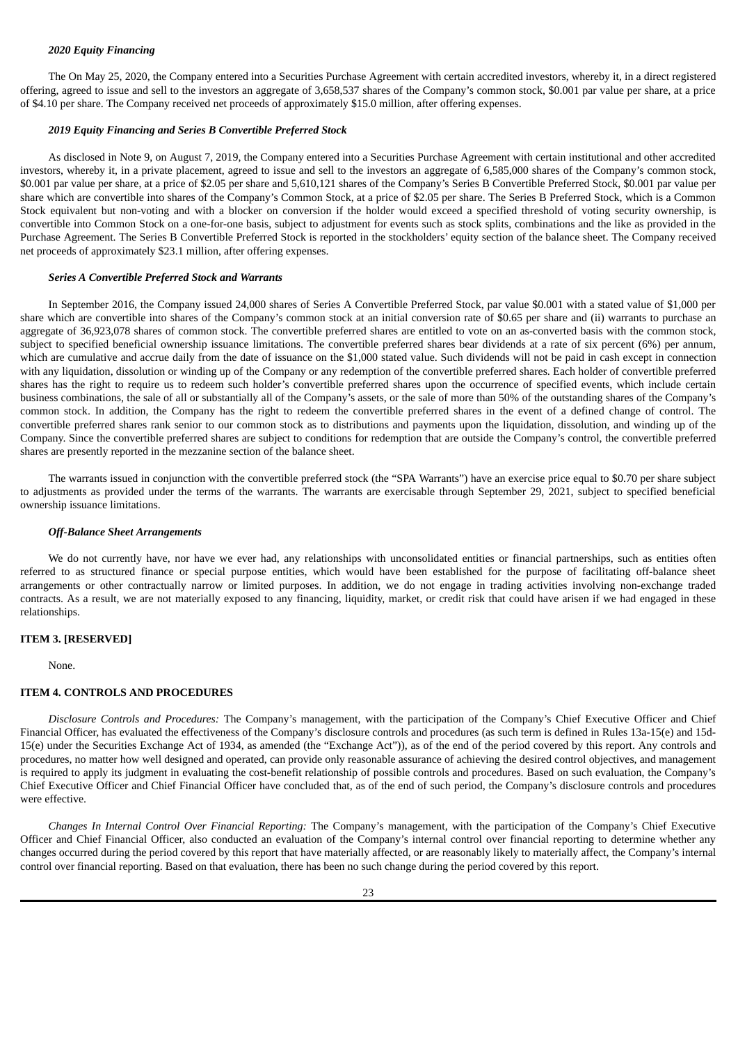### *2020 Equity Financing*

The On May 25, 2020, the Company entered into a Securities Purchase Agreement with certain accredited investors, whereby it, in a direct registered offering, agreed to issue and sell to the investors an aggregate of 3,658,537 shares of the Company's common stock, \$0.001 par value per share, at a price of \$4.10 per share. The Company received net proceeds of approximately \$15.0 million, after offering expenses.

# *2019 Equity Financing and Series B Convertible Preferred Stock*

As disclosed in Note 9, on August 7, 2019, the Company entered into a Securities Purchase Agreement with certain institutional and other accredited investors, whereby it, in a private placement, agreed to issue and sell to the investors an aggregate of 6,585,000 shares of the Company's common stock, \$0.001 par value per share, at a price of \$2.05 per share and 5,610,121 shares of the Company's Series B Convertible Preferred Stock, \$0.001 par value per share which are convertible into shares of the Company's Common Stock, at a price of \$2.05 per share. The Series B Preferred Stock, which is a Common Stock equivalent but non-voting and with a blocker on conversion if the holder would exceed a specified threshold of voting security ownership, is convertible into Common Stock on a one-for-one basis, subject to adjustment for events such as stock splits, combinations and the like as provided in the Purchase Agreement. The Series B Convertible Preferred Stock is reported in the stockholders' equity section of the balance sheet. The Company received net proceeds of approximately \$23.1 million, after offering expenses.

### *Series A Convertible Preferred Stock and Warrants*

In September 2016, the Company issued 24,000 shares of Series A Convertible Preferred Stock, par value \$0.001 with a stated value of \$1,000 per share which are convertible into shares of the Company's common stock at an initial conversion rate of \$0.65 per share and (ii) warrants to purchase an aggregate of 36,923,078 shares of common stock. The convertible preferred shares are entitled to vote on an as-converted basis with the common stock, subject to specified beneficial ownership issuance limitations. The convertible preferred shares bear dividends at a rate of six percent (6%) per annum, which are cumulative and accrue daily from the date of issuance on the \$1,000 stated value. Such dividends will not be paid in cash except in connection with any liquidation, dissolution or winding up of the Company or any redemption of the convertible preferred shares. Each holder of convertible preferred shares has the right to require us to redeem such holder's convertible preferred shares upon the occurrence of specified events, which include certain business combinations, the sale of all or substantially all of the Company's assets, or the sale of more than 50% of the outstanding shares of the Company's common stock. In addition, the Company has the right to redeem the convertible preferred shares in the event of a defined change of control. The convertible preferred shares rank senior to our common stock as to distributions and payments upon the liquidation, dissolution, and winding up of the Company. Since the convertible preferred shares are subject to conditions for redemption that are outside the Company's control, the convertible preferred shares are presently reported in the mezzanine section of the balance sheet.

The warrants issued in conjunction with the convertible preferred stock (the "SPA Warrants") have an exercise price equal to \$0.70 per share subject to adjustments as provided under the terms of the warrants. The warrants are exercisable through September 29, 2021, subject to specified beneficial ownership issuance limitations.

#### *Off-Balance Sheet Arrangements*

We do not currently have, nor have we ever had, any relationships with unconsolidated entities or financial partnerships, such as entities often referred to as structured finance or special purpose entities, which would have been established for the purpose of facilitating off-balance sheet arrangements or other contractually narrow or limited purposes. In addition, we do not engage in trading activities involving non-exchange traded contracts. As a result, we are not materially exposed to any financing, liquidity, market, or credit risk that could have arisen if we had engaged in these relationships.

## <span id="page-22-0"></span>**ITEM 3. [RESERVED]**

None.

# <span id="page-22-1"></span>**ITEM 4. CONTROLS AND PROCEDURES**

*Disclosure Controls and Procedures:* The Company's management, with the participation of the Company's Chief Executive Officer and Chief Financial Officer, has evaluated the effectiveness of the Company's disclosure controls and procedures (as such term is defined in Rules 13a-15(e) and 15d-15(e) under the Securities Exchange Act of 1934, as amended (the "Exchange Act")), as of the end of the period covered by this report. Any controls and procedures, no matter how well designed and operated, can provide only reasonable assurance of achieving the desired control objectives, and management is required to apply its judgment in evaluating the cost-benefit relationship of possible controls and procedures. Based on such evaluation, the Company's Chief Executive Officer and Chief Financial Officer have concluded that, as of the end of such period, the Company's disclosure controls and procedures were effective.

*Changes In Internal Control Over Financial Reporting:* The Company's management, with the participation of the Company's Chief Executive Officer and Chief Financial Officer, also conducted an evaluation of the Company's internal control over financial reporting to determine whether any changes occurred during the period covered by this report that have materially affected, or are reasonably likely to materially affect, the Company's internal control over financial reporting. Based on that evaluation, there has been no such change during the period covered by this report.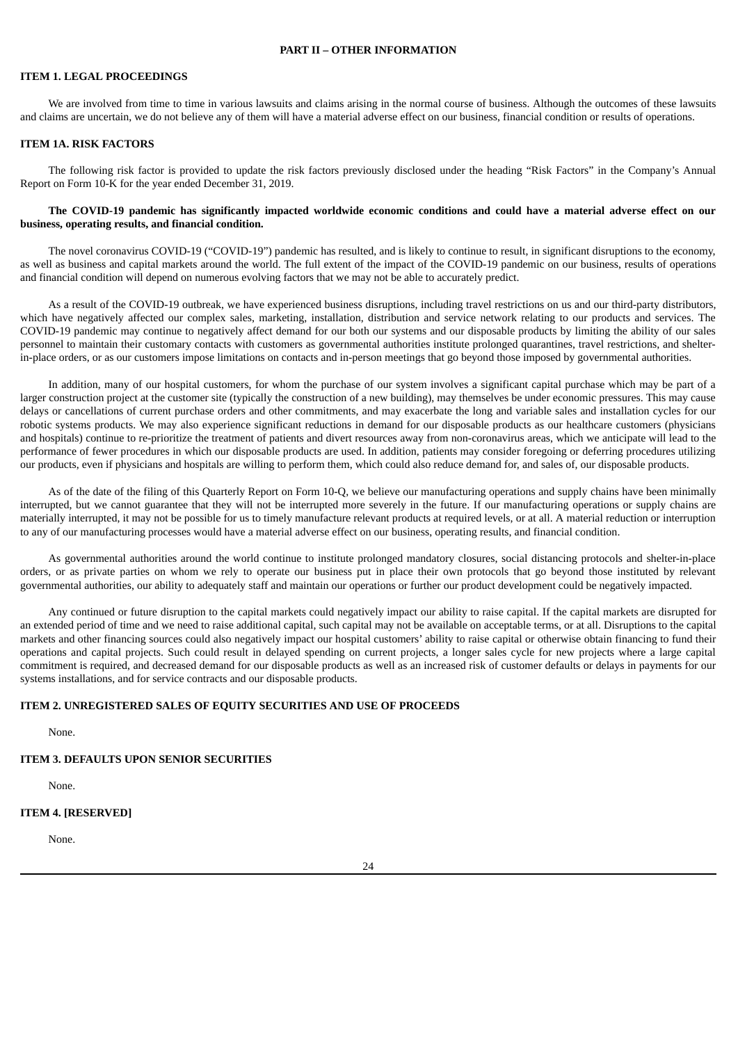# **PART II – OTHER INFORMATION**

# <span id="page-23-1"></span><span id="page-23-0"></span>**ITEM 1. LEGAL PROCEEDINGS**

We are involved from time to time in various lawsuits and claims arising in the normal course of business. Although the outcomes of these lawsuits and claims are uncertain, we do not believe any of them will have a material adverse effect on our business, financial condition or results of operations.

# <span id="page-23-2"></span>**ITEM 1A. RISK FACTORS**

The following risk factor is provided to update the risk factors previously disclosed under the heading "Risk Factors" in the Company's Annual Report on Form 10-K for the year ended December 31, 2019.

# The COVID-19 pandemic has significantly impacted worldwide economic conditions and could have a material adverse effect on our **business, operating results, and financial condition.**

The novel coronavirus COVID-19 ("COVID-19") pandemic has resulted, and is likely to continue to result, in significant disruptions to the economy, as well as business and capital markets around the world. The full extent of the impact of the COVID-19 pandemic on our business, results of operations and financial condition will depend on numerous evolving factors that we may not be able to accurately predict.

As a result of the COVID-19 outbreak, we have experienced business disruptions, including travel restrictions on us and our third-party distributors, which have negatively affected our complex sales, marketing, installation, distribution and service network relating to our products and services. The COVID-19 pandemic may continue to negatively affect demand for our both our systems and our disposable products by limiting the ability of our sales personnel to maintain their customary contacts with customers as governmental authorities institute prolonged quarantines, travel restrictions, and shelterin-place orders, or as our customers impose limitations on contacts and in-person meetings that go beyond those imposed by governmental authorities.

In addition, many of our hospital customers, for whom the purchase of our system involves a significant capital purchase which may be part of a larger construction project at the customer site (typically the construction of a new building), may themselves be under economic pressures. This may cause delays or cancellations of current purchase orders and other commitments, and may exacerbate the long and variable sales and installation cycles for our robotic systems products. We may also experience significant reductions in demand for our disposable products as our healthcare customers (physicians and hospitals) continue to re-prioritize the treatment of patients and divert resources away from non-coronavirus areas, which we anticipate will lead to the performance of fewer procedures in which our disposable products are used. In addition, patients may consider foregoing or deferring procedures utilizing our products, even if physicians and hospitals are willing to perform them, which could also reduce demand for, and sales of, our disposable products.

As of the date of the filing of this Quarterly Report on Form 10-Q, we believe our manufacturing operations and supply chains have been minimally interrupted, but we cannot guarantee that they will not be interrupted more severely in the future. If our manufacturing operations or supply chains are materially interrupted, it may not be possible for us to timely manufacture relevant products at required levels, or at all. A material reduction or interruption to any of our manufacturing processes would have a material adverse effect on our business, operating results, and financial condition.

As governmental authorities around the world continue to institute prolonged mandatory closures, social distancing protocols and shelter-in-place orders, or as private parties on whom we rely to operate our business put in place their own protocols that go beyond those instituted by relevant governmental authorities, our ability to adequately staff and maintain our operations or further our product development could be negatively impacted.

Any continued or future disruption to the capital markets could negatively impact our ability to raise capital. If the capital markets are disrupted for an extended period of time and we need to raise additional capital, such capital may not be available on acceptable terms, or at all. Disruptions to the capital markets and other financing sources could also negatively impact our hospital customers' ability to raise capital or otherwise obtain financing to fund their operations and capital projects. Such could result in delayed spending on current projects, a longer sales cycle for new projects where a large capital commitment is required, and decreased demand for our disposable products as well as an increased risk of customer defaults or delays in payments for our systems installations, and for service contracts and our disposable products.

### <span id="page-23-3"></span>**ITEM 2. UNREGISTERED SALES OF EQUITY SECURITIES AND USE OF PROCEEDS**

None.

# <span id="page-23-4"></span>**ITEM 3. DEFAULTS UPON SENIOR SECURITIES**

None.

# <span id="page-23-5"></span>**ITEM 4. [RESERVED]**

None.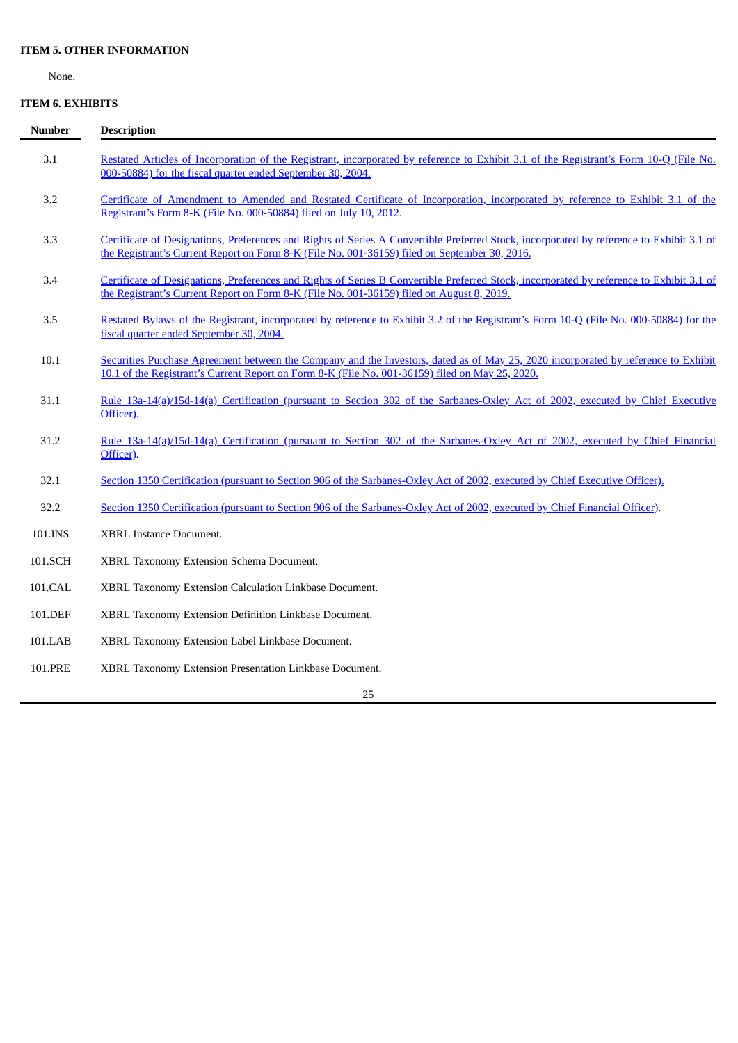# <span id="page-24-0"></span>**ITEM 5. OTHER INFORMATION**

None.

# <span id="page-24-1"></span>**ITEM 6. EXHIBITS**

| <b>Number</b> | <b>Description</b>                                                                                                                                                                                                                        |
|---------------|-------------------------------------------------------------------------------------------------------------------------------------------------------------------------------------------------------------------------------------------|
| 3.1           | Restated Articles of Incorporation of the Registrant, incorporated by reference to Exhibit 3.1 of the Registrant's Form 10-Q (File No.<br>000-50884) for the fiscal quarter ended September 30, 2004.                                     |
| 3.2           | Certificate of Amendment to Amended and Restated Certificate of Incorporation, incorporated by reference to Exhibit 3.1 of the<br>Registrant's Form 8-K (File No. 000-50884) filed on July 10, 2012.                                      |
| 3.3           | Certificate of Designations, Preferences and Rights of Series A Convertible Preferred Stock, incorporated by reference to Exhibit 3.1 of<br>the Registrant's Current Report on Form 8-K (File No. 001-36159) filed on September 30, 2016. |
| 3.4           | Certificate of Designations, Preferences and Rights of Series B Convertible Preferred Stock, incorporated by reference to Exhibit 3.1 of<br>the Registrant's Current Report on Form 8-K (File No. 001-36159) filed on August 8, 2019.     |
| 3.5           | Restated Bylaws of the Registrant, incorporated by reference to Exhibit 3.2 of the Registrant's Form 10-Q (File No. 000-50884) for the<br>fiscal quarter ended September 30, 2004.                                                        |
| 10.1          | Securities Purchase Agreement between the Company and the Investors, dated as of May 25, 2020 incorporated by reference to Exhibit<br>10.1 of the Registrant's Current Report on Form 8-K (File No. 001-36159) filed on May 25, 2020.     |
| 31.1          | Rule 13a-14(a)/15d-14(a) Certification (pursuant to Section 302 of the Sarbanes-Oxley Act of 2002, executed by Chief Executive<br>Officer).                                                                                               |
| 31.2          | Rule 13a-14(a)/15d-14(a) Certification (pursuant to Section 302 of the Sarbanes-Oxley Act of 2002, executed by Chief Financial<br>Officer).                                                                                               |
| 32.1          | Section 1350 Certification (pursuant to Section 906 of the Sarbanes-Oxley Act of 2002, executed by Chief Executive Officer).                                                                                                              |
| 32.2          | Section 1350 Certification (pursuant to Section 906 of the Sarbanes-Oxley Act of 2002, executed by Chief Financial Officer).                                                                                                              |
| 101.INS       | XBRL Instance Document.                                                                                                                                                                                                                   |
| 101.SCH       | XBRL Taxonomy Extension Schema Document.                                                                                                                                                                                                  |
| 101.CAL       | XBRL Taxonomy Extension Calculation Linkbase Document.                                                                                                                                                                                    |
| 101.DEF       | XBRL Taxonomy Extension Definition Linkbase Document.                                                                                                                                                                                     |
| 101.LAB       | XBRL Taxonomy Extension Label Linkbase Document.                                                                                                                                                                                          |
| 101.PRE       | XBRL Taxonomy Extension Presentation Linkbase Document.                                                                                                                                                                                   |

25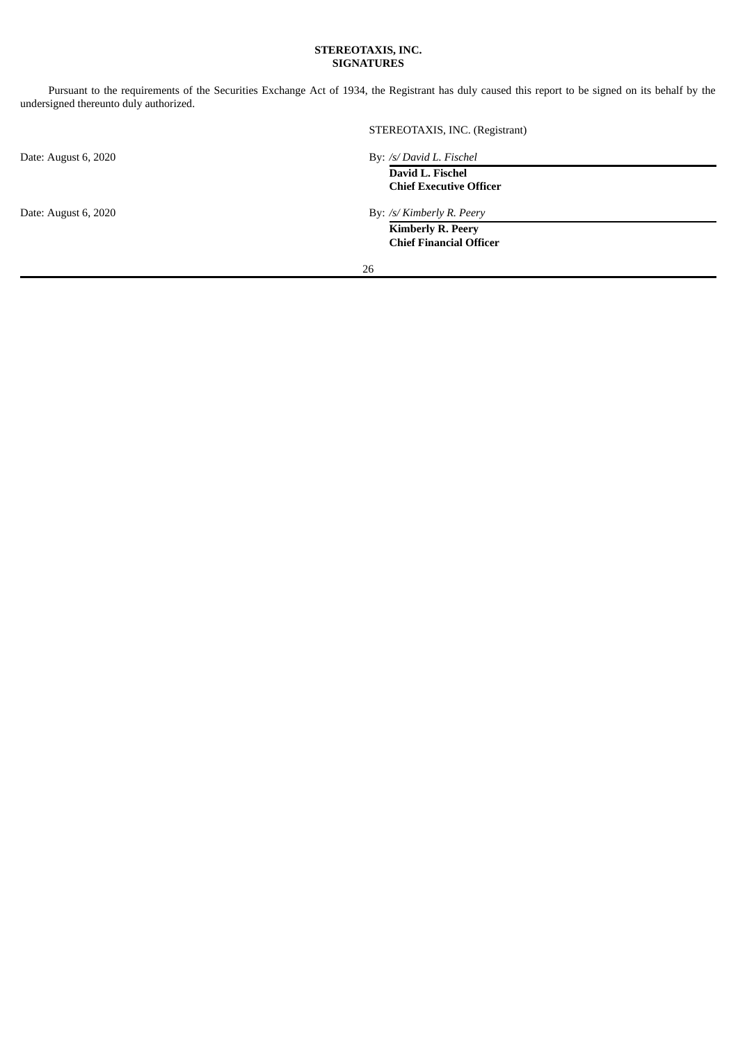# **STEREOTAXIS, INC. SIGNATURES**

<span id="page-25-0"></span>Pursuant to the requirements of the Securities Exchange Act of 1934, the Registrant has duly caused this report to be signed on its behalf by the undersigned thereunto duly authorized.

|                      | STEREOTAXIS, INC. (Registrant)                                                          |
|----------------------|-----------------------------------------------------------------------------------------|
| Date: August 6, 2020 | By: /s/ David L. Fischel<br>David L. Fischel<br><b>Chief Executive Officer</b>          |
| Date: August 6, 2020 | By: /s/ Kimberly R. Peery<br><b>Kimberly R. Peery</b><br><b>Chief Financial Officer</b> |
|                      | 26                                                                                      |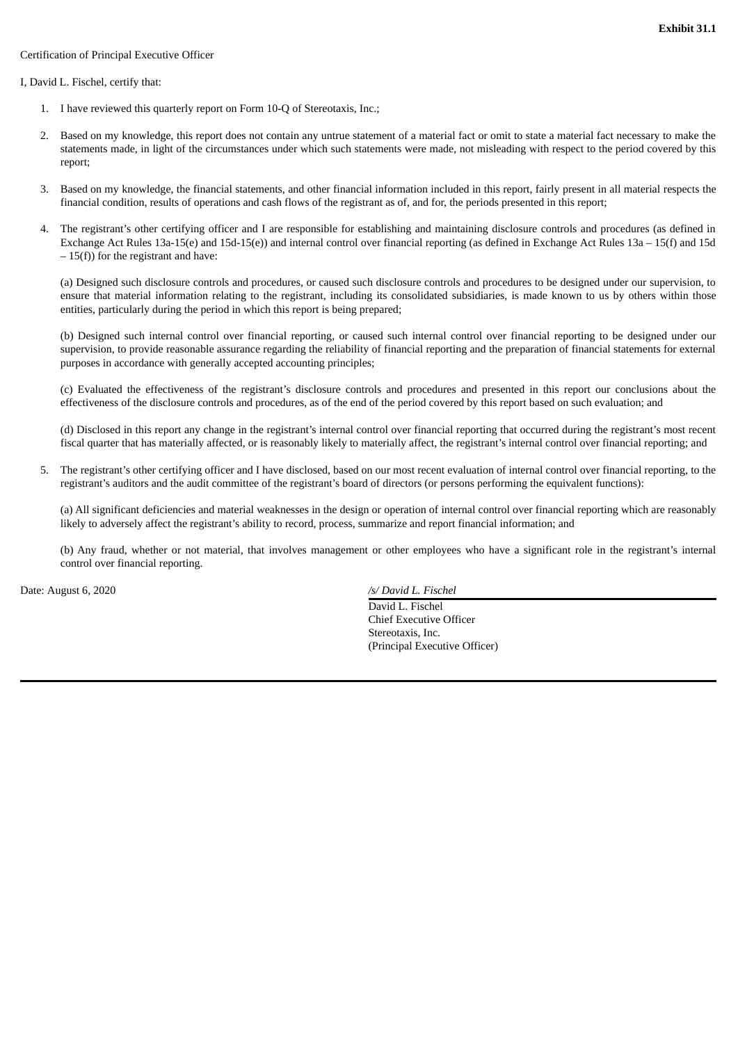## <span id="page-26-0"></span>Certification of Principal Executive Officer

# I, David L. Fischel, certify that:

- 1. I have reviewed this quarterly report on Form 10-Q of Stereotaxis, Inc.;
- 2. Based on my knowledge, this report does not contain any untrue statement of a material fact or omit to state a material fact necessary to make the statements made, in light of the circumstances under which such statements were made, not misleading with respect to the period covered by this report;
- 3. Based on my knowledge, the financial statements, and other financial information included in this report, fairly present in all material respects the financial condition, results of operations and cash flows of the registrant as of, and for, the periods presented in this report;
- 4. The registrant's other certifying officer and I are responsible for establishing and maintaining disclosure controls and procedures (as defined in Exchange Act Rules 13a-15(e) and 15d-15(e)) and internal control over financial reporting (as defined in Exchange Act Rules 13a – 15(f) and 15d  $-15(f)$ ) for the registrant and have:

(a) Designed such disclosure controls and procedures, or caused such disclosure controls and procedures to be designed under our supervision, to ensure that material information relating to the registrant, including its consolidated subsidiaries, is made known to us by others within those entities, particularly during the period in which this report is being prepared;

(b) Designed such internal control over financial reporting, or caused such internal control over financial reporting to be designed under our supervision, to provide reasonable assurance regarding the reliability of financial reporting and the preparation of financial statements for external purposes in accordance with generally accepted accounting principles;

(c) Evaluated the effectiveness of the registrant's disclosure controls and procedures and presented in this report our conclusions about the effectiveness of the disclosure controls and procedures, as of the end of the period covered by this report based on such evaluation; and

(d) Disclosed in this report any change in the registrant's internal control over financial reporting that occurred during the registrant's most recent fiscal quarter that has materially affected, or is reasonably likely to materially affect, the registrant's internal control over financial reporting; and

5. The registrant's other certifying officer and I have disclosed, based on our most recent evaluation of internal control over financial reporting, to the registrant's auditors and the audit committee of the registrant's board of directors (or persons performing the equivalent functions):

(a) All significant deficiencies and material weaknesses in the design or operation of internal control over financial reporting which are reasonably likely to adversely affect the registrant's ability to record, process, summarize and report financial information; and

(b) Any fraud, whether or not material, that involves management or other employees who have a significant role in the registrant's internal control over financial reporting.

Date: August 6, 2020 */s/ David L. Fischel*

David L. Fischel Chief Executive Officer Stereotaxis, Inc. (Principal Executive Officer)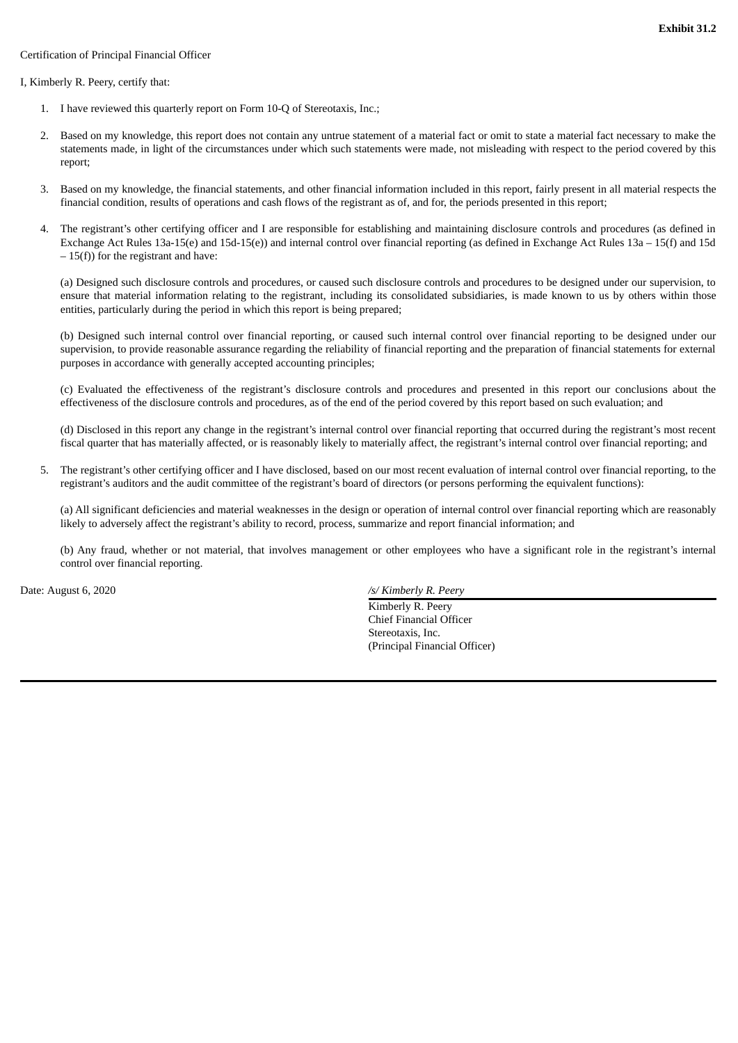### <span id="page-27-0"></span>Certification of Principal Financial Officer

# I, Kimberly R. Peery, certify that:

- 1. I have reviewed this quarterly report on Form 10-Q of Stereotaxis, Inc.;
- 2. Based on my knowledge, this report does not contain any untrue statement of a material fact or omit to state a material fact necessary to make the statements made, in light of the circumstances under which such statements were made, not misleading with respect to the period covered by this report;
- 3. Based on my knowledge, the financial statements, and other financial information included in this report, fairly present in all material respects the financial condition, results of operations and cash flows of the registrant as of, and for, the periods presented in this report;
- 4. The registrant's other certifying officer and I are responsible for establishing and maintaining disclosure controls and procedures (as defined in Exchange Act Rules 13a-15(e) and 15d-15(e)) and internal control over financial reporting (as defined in Exchange Act Rules 13a – 15(f) and 15d  $-15(f)$ ) for the registrant and have:

(a) Designed such disclosure controls and procedures, or caused such disclosure controls and procedures to be designed under our supervision, to ensure that material information relating to the registrant, including its consolidated subsidiaries, is made known to us by others within those entities, particularly during the period in which this report is being prepared;

(b) Designed such internal control over financial reporting, or caused such internal control over financial reporting to be designed under our supervision, to provide reasonable assurance regarding the reliability of financial reporting and the preparation of financial statements for external purposes in accordance with generally accepted accounting principles;

(c) Evaluated the effectiveness of the registrant's disclosure controls and procedures and presented in this report our conclusions about the effectiveness of the disclosure controls and procedures, as of the end of the period covered by this report based on such evaluation; and

(d) Disclosed in this report any change in the registrant's internal control over financial reporting that occurred during the registrant's most recent fiscal quarter that has materially affected, or is reasonably likely to materially affect, the registrant's internal control over financial reporting; and

5. The registrant's other certifying officer and I have disclosed, based on our most recent evaluation of internal control over financial reporting, to the registrant's auditors and the audit committee of the registrant's board of directors (or persons performing the equivalent functions):

(a) All significant deficiencies and material weaknesses in the design or operation of internal control over financial reporting which are reasonably likely to adversely affect the registrant's ability to record, process, summarize and report financial information; and

(b) Any fraud, whether or not material, that involves management or other employees who have a significant role in the registrant's internal control over financial reporting.

Date: August 6, 2020 */s/ Kimberly R. Peery*

Kimberly R. Peery Chief Financial Officer Stereotaxis, Inc. (Principal Financial Officer)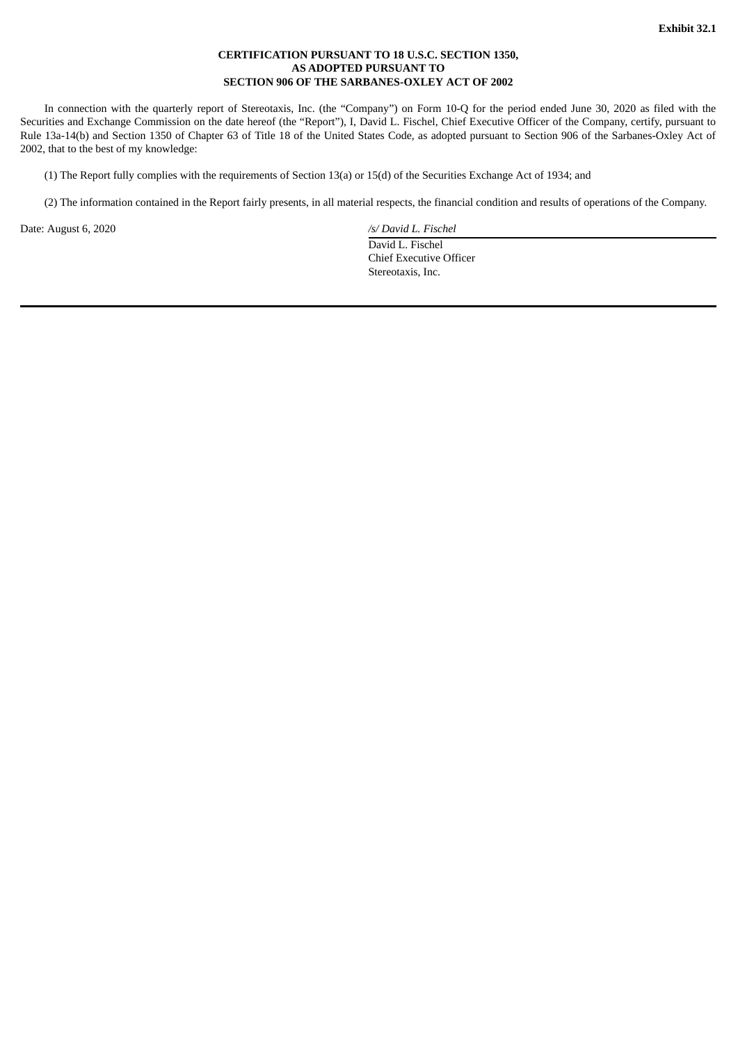# **CERTIFICATION PURSUANT TO 18 U.S.C. SECTION 1350, AS ADOPTED PURSUANT TO SECTION 906 OF THE SARBANES-OXLEY ACT OF 2002**

<span id="page-28-0"></span>In connection with the quarterly report of Stereotaxis, Inc. (the "Company") on Form 10-Q for the period ended June 30, 2020 as filed with the Securities and Exchange Commission on the date hereof (the "Report"), I, David L. Fischel, Chief Executive Officer of the Company, certify, pursuant to Rule 13a-14(b) and Section 1350 of Chapter 63 of Title 18 of the United States Code, as adopted pursuant to Section 906 of the Sarbanes-Oxley Act of 2002, that to the best of my knowledge:

(1) The Report fully complies with the requirements of Section 13(a) or 15(d) of the Securities Exchange Act of 1934; and

(2) The information contained in the Report fairly presents, in all material respects, the financial condition and results of operations of the Company.

Date: August 6, 2020 */s/ David L. Fischel*

David L. Fischel Chief Executive Officer Stereotaxis, Inc.